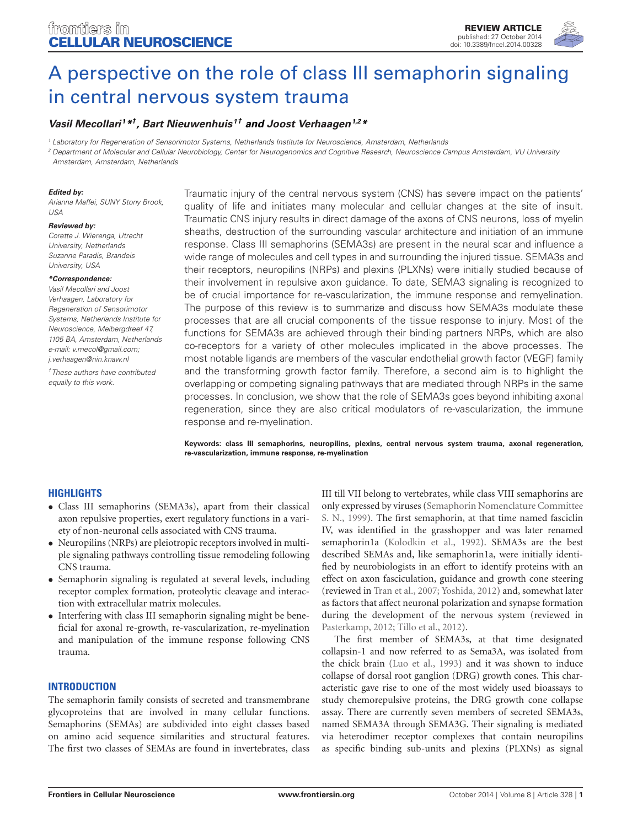

# [A perspective on the role of class III semaphorin signaling](http://www.frontiersin.org/Journal/10.3389/fncel.2014.00328/abstract) [in central nervous system trauma](http://www.frontiersin.org/Journal/10.3389/fncel.2014.00328/abstract)

# **[Vasil Mecollari](http://community.frontiersin.org/people/u/166577) <sup>1</sup>\* † , [Bart Nieuwenhuis](http://community.frontiersin.org/people/u/89639) <sup>1</sup>† and [Joost Verhaagen](http://community.frontiersin.org/people/u/35611)1,2\***

<sup>1</sup> Laboratory for Regeneration of Sensorimotor Systems, Netherlands Institute for Neuroscience, Amsterdam, Netherlands

<sup>2</sup> Department of Molecular and Cellular Neurobiology, Center for Neurogenomics and Cognitive Research, Neuroscience Campus Amsterdam, VU University Amsterdam, Amsterdam, Netherlands

#### **Edited by:**

Arianna Maffei, SUNY Stony Brook, USA

#### **Reviewed by:**

Corette J. Wierenga, Utrecht University, Netherlands Suzanne Paradis, Brandeis University, USA

#### **\*Correspondence:**

Vasil Mecollari and Joost Verhaagen, Laboratory for Regeneration of Sensorimotor Systems, Netherlands Institute for Neuroscience, Meibergdreef 47, 1105 BA, Amsterdam, Netherlands e-mail: [v.mecol@gmail.com;](mailto:v.mecol@gmail.com) [j.verhaagen@nin.knaw.nl](mailto:j.verhaagen@nin.knaw.nl)

†These authors have contributed equally to this work.

Traumatic injury of the central nervous system (CNS) has severe impact on the patients' quality of life and initiates many molecular and cellular changes at the site of insult. Traumatic CNS injury results in direct damage of the axons of CNS neurons, loss of myelin sheaths, destruction of the surrounding vascular architecture and initiation of an immune response. Class III semaphorins (SEMA3s) are present in the neural scar and influence a wide range of molecules and cell types in and surrounding the injured tissue. SEMA3s and their receptors, neuropilins (NRPs) and plexins (PLXNs) were initially studied because of their involvement in repulsive axon guidance. To date, SEMA3 signaling is recognized to be of crucial importance for re-vascularization, the immune response and remyelination. The purpose of this review is to summarize and discuss how SEMA3s modulate these processes that are all crucial components of the tissue response to injury. Most of the functions for SEMA3s are achieved through their binding partners NRPs, which are also co-receptors for a variety of other molecules implicated in the above processes. The most notable ligands are members of the vascular endothelial growth factor (VEGF) family and the transforming growth factor family. Therefore, a second aim is to highlight the overlapping or competing signaling pathways that are mediated through NRPs in the same processes. In conclusion, we show that the role of SEMA3s goes beyond inhibiting axonal regeneration, since they are also critical modulators of re-vascularization, the immune response and re-myelination.

**Keywords: class III semaphorins, neuropilins, plexins, central nervous system trauma, axonal regeneration, re-vascularization, immune response, re-myelination**

#### **HIGHLIGHTS**

- Class III semaphorins (SEMA3s), apart from their classical axon repulsive properties, exert regulatory functions in a variety of non-neuronal cells associated with CNS trauma.
- Neuropilins (NRPs) are pleiotropic receptors involved in multiple signaling pathways controlling tissue remodeling following CNS trauma.
- Semaphorin signaling is regulated at several levels, including receptor complex formation, proteolytic cleavage and interaction with extracellular matrix molecules.
- Interfering with class III semaphorin signaling might be beneficial for axonal re-growth, re-vascularization, re-myelination and manipulation of the immune response following CNS trauma.

#### **INTRODUCTION**

The semaphorin family consists of secreted and transmembrane glycoproteins that are involved in many cellular functions. Semaphorins (SEMAs) are subdivided into eight classes based on amino acid sequence similarities and structural features. The first two classes of SEMAs are found in invertebrates, class III till VII belong to vertebrates, while class VIII semaphorins are only expressed by viruses [\(Semaphorin Nomenclature Committee](#page-15-0) [S. N., 1999\)](#page-15-0). The first semaphorin, at that time named fasciclin IV, was identified in the grasshopper and was later renamed semaphorin1a [\(Kolodkin et al., 1992\)](#page-14-0). SEMA3s are the best described SEMAs and, like semaphorin1a, were initially identified by neurobiologists in an effort to identify proteins with an effect on axon fasciculation, guidance and growth cone steering (reviewed in [Tran et al., 2007;](#page-16-0) [Yoshida, 2012\)](#page-16-1) and, somewhat later as factors that affect neuronal polarization and synapse formation during the development of the nervous system (reviewed in [Pasterkamp, 2012;](#page-15-1) [Tillo et al., 2012\)](#page-16-2).

The first member of SEMA3s, at that time designated collapsin-1 and now referred to as Sema3A, was isolated from the chick brain [\(Luo et al., 1993\)](#page-14-1) and it was shown to induce collapse of dorsal root ganglion (DRG) growth cones. This characteristic gave rise to one of the most widely used bioassays to study chemorepulsive proteins, the DRG growth cone collapse assay. There are currently seven members of secreted SEMA3s, named SEMA3A through SEMA3G. Their signaling is mediated via heterodimer receptor complexes that contain neuropilins as specific binding sub-units and plexins (PLXNs) as signal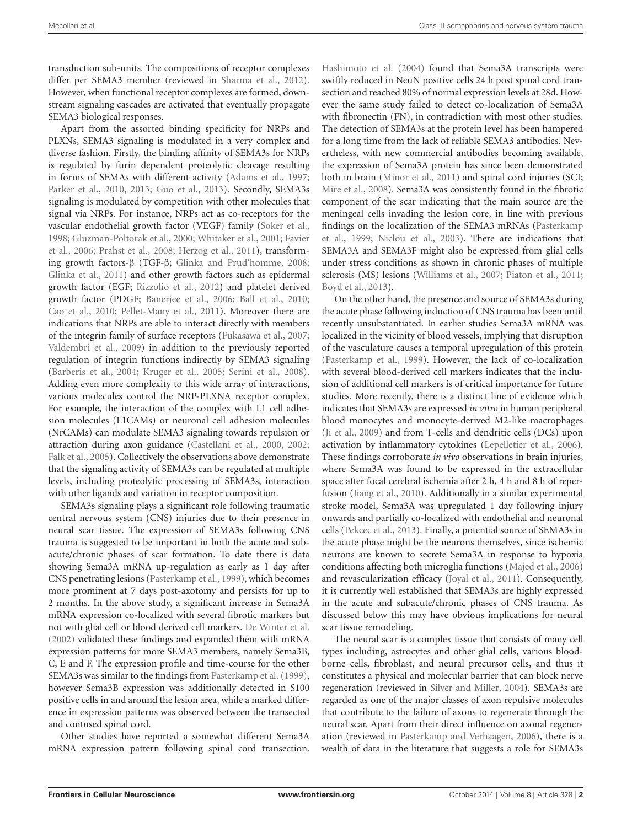transduction sub-units. The compositions of receptor complexes differ per SEMA3 member (reviewed in [Sharma et al.,](#page-15-2) [2012\)](#page-15-2). However, when functional receptor complexes are formed, downstream signaling cascades are activated that eventually propagate SEMA3 biological responses.

Apart from the assorted binding specificity for NRPs and PLXNs, SEMA3 signaling is modulated in a very complex and diverse fashion. Firstly, the binding affinity of SEMA3s for NRPs is regulated by furin dependent proteolytic cleavage resulting in forms of SEMAs with different activity [\(Adams et al.,](#page-12-0) [1997;](#page-12-0) [Parker et al.,](#page-15-3) [2010,](#page-15-3) [2013;](#page-15-4) [Guo et al.,](#page-13-0) [2013\)](#page-13-0). Secondly, SEMA3s signaling is modulated by competition with other molecules that signal via NRPs. For instance, NRPs act as co-receptors for the vascular endothelial growth factor (VEGF) family [\(Soker et al.,](#page-15-5) [1998;](#page-15-5) [Gluzman-Poltorak et al.,](#page-13-1) [2000;](#page-13-1) [Whitaker et al.,](#page-16-3) [2001;](#page-16-3) [Favier](#page-13-2) [et al.,](#page-13-2) [2006;](#page-13-2) [Prahst et al.,](#page-15-6) [2008;](#page-15-6) [Herzog et al.,](#page-13-3) [2011\)](#page-13-3), transforming growth factors-β (TGF-β; [Glinka and Prud'homme,](#page-13-4) [2008;](#page-13-4) [Glinka et al.,](#page-13-5) [2011\)](#page-13-5) and other growth factors such as epidermal growth factor (EGF; [Rizzolio et al.,](#page-15-7) [2012\)](#page-15-7) and platelet derived growth factor (PDGF; [Banerjee et al.,](#page-12-1) [2006;](#page-12-1) [Ball et al.,](#page-12-2) [2010;](#page-12-2) [Cao et al.,](#page-12-3) [2010;](#page-12-3) [Pellet-Many et al.,](#page-15-8) [2011\)](#page-15-8). Moreover there are indications that NRPs are able to interact directly with members of the integrin family of surface receptors [\(Fukasawa et al.,](#page-13-6) [2007;](#page-13-6) [Valdembri et al.,](#page-16-4) [2009\)](#page-16-4) in addition to the previously reported regulation of integrin functions indirectly by SEMA3 signaling [\(Barberis et al.,](#page-12-4) [2004;](#page-12-4) [Kruger et al.,](#page-14-2) [2005;](#page-14-2) [Serini et al.,](#page-15-9) [2008\)](#page-15-9). Adding even more complexity to this wide array of interactions, various molecules control the NRP-PLXNA receptor complex. For example, the interaction of the complex with L1 cell adhesion molecules (L1CAMs) or neuronal cell adhesion molecules (NrCAMs) can modulate SEMA3 signaling towards repulsion or attraction during axon guidance [\(Castellani et al.,](#page-12-5) [2000,](#page-12-5) [2002;](#page-12-6) [Falk et al.,](#page-13-7) [2005\)](#page-13-7). Collectively the observations above demonstrate that the signaling activity of SEMA3s can be regulated at multiple levels, including proteolytic processing of SEMA3s, interaction with other ligands and variation in receptor composition.

SEMA3s signaling plays a significant role following traumatic central nervous system (CNS) injuries due to their presence in neural scar tissue. The expression of SEMA3s following CNS trauma is suggested to be important in both the acute and subacute/chronic phases of scar formation. To date there is data showing Sema3A mRNA up-regulation as early as 1 day after CNS penetrating lesions [\(Pasterkamp et al.,](#page-15-10) [1999\)](#page-15-10), which becomes more prominent at 7 days post-axotomy and persists for up to 2 months. In the above study, a significant increase in Sema3A mRNA expression co-localized with several fibrotic markers but not with glial cell or blood derived cell markers. [De Winter et al.](#page-13-8) [\(2002\)](#page-13-8) validated these findings and expanded them with mRNA expression patterns for more SEMA3 members, namely Sema3B, C, E and F. The expression profile and time-course for the other SEMA3s was similar to the findings from Pasterkamp et al. (1999), however Sema3B expression was additionally detected in S100 positive cells in and around the lesion area, while a marked difference in expression patterns was observed between the transected and contused spinal cord.

Other studies have reported a somewhat different Sema3A mRNA expression pattern following spinal cord transection.

[Hashimoto et al.](#page-13-9) [\(2004\)](#page-13-9) found that Sema3A transcripts were swiftly reduced in NeuN positive cells 24 h post spinal cord transection and reached 80% of normal expression levels at 28d. However the same study failed to detect co-localization of Sema3A with fibronectin (FN), in contradiction with most other studies. The detection of SEMA3s at the protein level has been hampered for a long time from the lack of reliable SEMA3 antibodies. Nevertheless, with new commercial antibodies becoming available, the expression of Sema3A protein has since been demonstrated both in brain [\(Minor et al.,](#page-14-3) [2011\)](#page-14-3) and spinal cord injuries (SCI; [Mire et al.,](#page-14-4) [2008\)](#page-14-4). Sema3A was consistently found in the fibrotic component of the scar indicating that the main source are the meningeal cells invading the lesion core, in line with previous findings on the localization of the SEMA3 mRNAs [\(Pasterkamp](#page-15-10) [et al.,](#page-15-10) [1999;](#page-15-10) [Niclou et al.,](#page-15-11) [2003\)](#page-15-11). There are indications that SEMA3A and SEMA3F might also be expressed from glial cells under stress conditions as shown in chronic phases of multiple sclerosis (MS) lesions [\(Williams et al.,](#page-16-5) [2007;](#page-16-5) [Piaton et al.,](#page-15-12) [2011;](#page-15-12) [Boyd et al.,](#page-12-7) [2013\)](#page-12-7).

On the other hand, the presence and source of SEMA3s during the acute phase following induction of CNS trauma has been until recently unsubstantiated. In earlier studies Sema3A mRNA was localized in the vicinity of blood vessels, implying that disruption of the vasculature causes a temporal upregulation of this protein [\(Pasterkamp et al.,](#page-15-10) [1999\)](#page-15-10). However, the lack of co-localization with several blood-derived cell markers indicates that the inclusion of additional cell markers is of critical importance for future studies. More recently, there is a distinct line of evidence which indicates that SEMA3s are expressed *in vitro* in human peripheral blood monocytes and monocyte-derived M2-like macrophages [\(Ji et al.,](#page-13-10) [2009\)](#page-13-10) and from T-cells and dendritic cells (DCs) upon activation by inflammatory cytokines [\(Lepelletier et al.,](#page-14-5) [2006\)](#page-14-5). These findings corroborate *in vivo* observations in brain injuries, where Sema3A was found to be expressed in the extracellular space after focal cerebral ischemia after 2 h, 4 h and 8 h of reperfusion [\(Jiang et al.,](#page-13-11) [2010\)](#page-13-11). Additionally in a similar experimental stroke model, Sema3A was upregulated 1 day following injury onwards and partially co-localized with endothelial and neuronal cells [\(Pekcec et al.,](#page-15-13) [2013\)](#page-15-13). Finally, a potential source of SEMA3s in the acute phase might be the neurons themselves, since ischemic neurons are known to secrete Sema3A in response to hypoxia conditions affecting both microglia functions [\(Majed et al.,](#page-14-6) [2006\)](#page-14-6) and revascularization efficacy [\(Joyal et al.,](#page-13-12) [2011\)](#page-13-12). Consequently, it is currently well established that SEMA3s are highly expressed in the acute and subacute/chronic phases of CNS trauma. As discussed below this may have obvious implications for neural scar tissue remodeling.

The neural scar is a complex tissue that consists of many cell types including, astrocytes and other glial cells, various bloodborne cells, fibroblast, and neural precursor cells, and thus it constitutes a physical and molecular barrier that can block nerve regeneration (reviewed in [Silver and Miller,](#page-15-14) [2004\)](#page-15-14). SEMA3s are regarded as one of the major classes of axon repulsive molecules that contribute to the failure of axons to regenerate through the neural scar. Apart from their direct influence on axonal regeneration (reviewed in [Pasterkamp and Verhaagen,](#page-15-15) [2006\)](#page-15-15), there is a wealth of data in the literature that suggests a role for SEMA3s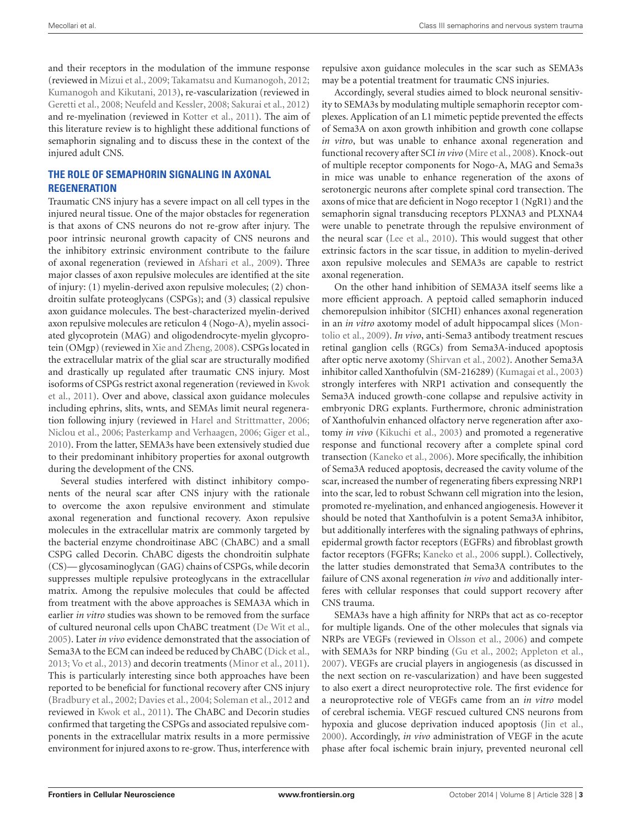and their receptors in the modulation of the immune response (reviewed in [Mizui et al.,](#page-14-7) [2009;](#page-14-7) [Takamatsu and Kumanogoh,](#page-16-6) [2012;](#page-16-6) [Kumanogoh and Kikutani,](#page-14-8) [2013\)](#page-14-8), re-vascularization (reviewed in [Geretti et al.,](#page-13-13) [2008;](#page-13-13) [Neufeld and Kessler,](#page-14-9) [2008;](#page-14-9) [Sakurai et al.,](#page-15-16) [2012\)](#page-15-16) and re-myelination (reviewed in [Kotter et al.,](#page-14-10) [2011\)](#page-14-10). The aim of this literature review is to highlight these additional functions of semaphorin signaling and to discuss these in the context of the injured adult CNS.

## **THE ROLE OF SEMAPHORIN SIGNALING IN AXONAL REGENERATION**

Traumatic CNS injury has a severe impact on all cell types in the injured neural tissue. One of the major obstacles for regeneration is that axons of CNS neurons do not re-grow after injury. The poor intrinsic neuronal growth capacity of CNS neurons and the inhibitory extrinsic environment contribute to the failure of axonal regeneration (reviewed in [Afshari et al.,](#page-12-8) [2009\)](#page-12-8). Three major classes of axon repulsive molecules are identified at the site of injury: (1) myelin-derived axon repulsive molecules; (2) chondroitin sulfate proteoglycans (CSPGs); and (3) classical repulsive axon guidance molecules. The best-characterized myelin-derived axon repulsive molecules are reticulon 4 (Nogo-A), myelin associated glycoprotein (MAG) and oligodendrocyte-myelin glycoprotein (OMgp) (reviewed in [Xie and Zheng,](#page-16-7) [2008\)](#page-16-7). CSPGs located in the extracellular matrix of the glial scar are structurally modified and drastically up regulated after traumatic CNS injury. Most isoforms of CSPGs restrict axonal regeneration (reviewed in [Kwok](#page-14-11) [et al.,](#page-14-11) [2011\)](#page-14-11). Over and above, classical axon guidance molecules including ephrins, slits, wnts, and SEMAs limit neural regeneration following injury (reviewed in [Harel and Strittmatter,](#page-13-14) [2006;](#page-13-14) [Niclou et al.,](#page-15-17) [2006;](#page-15-17) [Pasterkamp and Verhaagen,](#page-15-15) [2006;](#page-15-15) [Giger et al.,](#page-13-15) [2010\)](#page-13-15). From the latter, SEMA3s have been extensively studied due to their predominant inhibitory properties for axonal outgrowth during the development of the CNS.

Several studies interfered with distinct inhibitory components of the neural scar after CNS injury with the rationale to overcome the axon repulsive environment and stimulate axonal regeneration and functional recovery. Axon repulsive molecules in the extracellular matrix are commonly targeted by the bacterial enzyme chondroitinase ABC (ChABC) and a small CSPG called Decorin. ChABC digests the chondroitin sulphate (CS)— glycosaminoglycan (GAG) chains of CSPGs, while decorin suppresses multiple repulsive proteoglycans in the extracellular matrix. Among the repulsive molecules that could be affected from treatment with the above approaches is SEMA3A which in earlier *in vitro* studies was shown to be removed from the surface of cultured neuronal cells upon ChABC treatment [\(De Wit et al.,](#page-13-16) [2005\)](#page-13-16). Later *in vivo* evidence demonstrated that the association of Sema3A to the ECM can indeed be reduced by ChABC [\(Dick et al.,](#page-13-17) [2013;](#page-13-17) [Vo et al.,](#page-16-8) [2013\)](#page-16-8) and decorin treatments [\(Minor et al.,](#page-14-3) [2011\)](#page-14-3). This is particularly interesting since both approaches have been reported to be beneficial for functional recovery after CNS injury [\(Bradbury et al.,](#page-12-9) [2002;](#page-12-9) [Davies et al.,](#page-12-10) [2004;](#page-12-10) [Soleman et al.,](#page-15-18) [2012](#page-15-18) and reviewed in [Kwok et al.,](#page-14-11) [2011\)](#page-14-11). The ChABC and Decorin studies confirmed that targeting the CSPGs and associated repulsive components in the extracellular matrix results in a more permissive environment for injured axons to re-grow. Thus, interference with

repulsive axon guidance molecules in the scar such as SEMA3s may be a potential treatment for traumatic CNS injuries.

Accordingly, several studies aimed to block neuronal sensitivity to SEMA3s by modulating multiple semaphorin receptor complexes. Application of an L1 mimetic peptide prevented the effects of Sema3A on axon growth inhibition and growth cone collapse *in vitro*, but was unable to enhance axonal regeneration and functional recovery after SCI *in vivo* [\(Mire et al.,](#page-14-4) [2008\)](#page-14-4). Knock-out of multiple receptor components for Nogo-A, MAG and Sema3s in mice was unable to enhance regeneration of the axons of serotonergic neurons after complete spinal cord transection. The axons of mice that are deficient in Nogo receptor 1 (NgR1) and the semaphorin signal transducing receptors PLXNA3 and PLXNA4 were unable to penetrate through the repulsive environment of the neural scar [\(Lee et al.,](#page-14-12) [2010\)](#page-14-12). This would suggest that other extrinsic factors in the scar tissue, in addition to myelin-derived axon repulsive molecules and SEMA3s are capable to restrict axonal regeneration.

On the other hand inhibition of SEMA3A itself seems like a more efficient approach. A peptoid called semaphorin induced chemorepulsion inhibitor (SICHI) enhances axonal regeneration in an *in vitro* axotomy model of adult hippocampal slices [\(Mon](#page-14-13)[tolio et al.,](#page-14-13) [2009\)](#page-14-13). *In vivo*, anti-Sema3 antibody treatment rescues retinal ganglion cells (RGCs) from Sema3A-induced apoptosis after optic nerve axotomy [\(Shirvan et al.,](#page-15-19) [2002\)](#page-15-19). Another Sema3A inhibitor called Xanthofulvin (SM-216289) [\(Kumagai et al.,](#page-14-14) [2003\)](#page-14-14) strongly interferes with NRP1 activation and consequently the Sema3A induced growth-cone collapse and repulsive activity in embryonic DRG explants. Furthermore, chronic administration of Xanthofulvin enhanced olfactory nerve regeneration after axotomy *in vivo* [\(Kikuchi et al.,](#page-14-15) [2003\)](#page-14-15) and promoted a regenerative response and functional recovery after a complete spinal cord transection [\(Kaneko et al.,](#page-13-18) [2006\)](#page-13-18). More specifically, the inhibition of Sema3A reduced apoptosis, decreased the cavity volume of the scar, increased the number of regenerating fibers expressing NRP1 into the scar, led to robust Schwann cell migration into the lesion, promoted re-myelination, and enhanced angiogenesis. However it should be noted that Xanthofulvin is a potent Sema3A inhibitor, but additionally interferes with the signaling pathways of ephrins, epidermal growth factor receptors (EGFRs) and fibroblast growth factor receptors (FGFRs; [Kaneko et al.,](#page-13-18) [2006](#page-13-18) suppl.). Collectively, the latter studies demonstrated that Sema3A contributes to the failure of CNS axonal regeneration *in vivo* and additionally interferes with cellular responses that could support recovery after CNS trauma.

SEMA3s have a high affinity for NRPs that act as co-receptor for multiple ligands. One of the other molecules that signals via NRPs are VEGFs (reviewed in [Olsson et al.,](#page-15-20) [2006\)](#page-15-20) and compete with SEMA3s for NRP binding [\(Gu et al.,](#page-13-19) [2002;](#page-13-19) [Appleton et al.,](#page-12-11) [2007\)](#page-12-11). VEGFs are crucial players in angiogenesis (as discussed in the next section on re-vascularization) and have been suggested to also exert a direct neuroprotective role. The first evidence for a neuroprotective role of VEGFs came from an *in vitro* model of cerebral ischemia. VEGF rescued cultured CNS neurons from hypoxia and glucose deprivation induced apoptosis [\(Jin et al.,](#page-13-20) [2000\)](#page-13-20). Accordingly, *in vivo* administration of VEGF in the acute phase after focal ischemic brain injury, prevented neuronal cell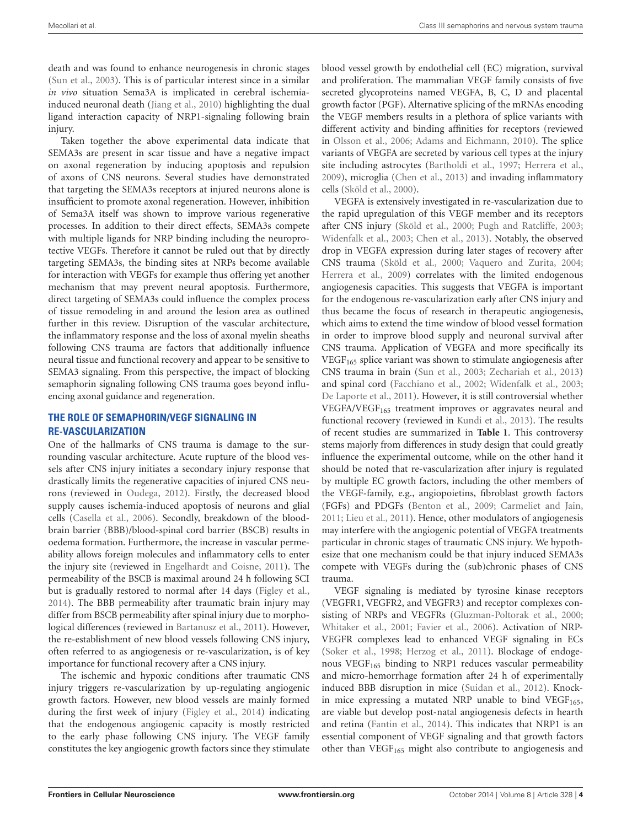death and was found to enhance neurogenesis in chronic stages [\(Sun et al.,](#page-16-9) [2003\)](#page-16-9). This is of particular interest since in a similar *in vivo* situation Sema3A is implicated in cerebral ischemiainduced neuronal death [\(Jiang et al.,](#page-13-11) [2010\)](#page-13-11) highlighting the dual ligand interaction capacity of NRP1-signaling following brain injury.

Taken together the above experimental data indicate that SEMA3s are present in scar tissue and have a negative impact on axonal regeneration by inducing apoptosis and repulsion of axons of CNS neurons. Several studies have demonstrated that targeting the SEMA3s receptors at injured neurons alone is insufficient to promote axonal regeneration. However, inhibition of Sema3A itself was shown to improve various regenerative processes. In addition to their direct effects, SEMA3s compete with multiple ligands for NRP binding including the neuroprotective VEGFs. Therefore it cannot be ruled out that by directly targeting SEMA3s, the binding sites at NRPs become available for interaction with VEGFs for example thus offering yet another mechanism that may prevent neural apoptosis. Furthermore, direct targeting of SEMA3s could influence the complex process of tissue remodeling in and around the lesion area as outlined further in this review. Disruption of the vascular architecture, the inflammatory response and the loss of axonal myelin sheaths following CNS trauma are factors that additionally influence neural tissue and functional recovery and appear to be sensitive to SEMA3 signaling. From this perspective, the impact of blocking semaphorin signaling following CNS trauma goes beyond influencing axonal guidance and regeneration.

### **THE ROLE OF SEMAPHORIN/VEGF SIGNALING IN RE-VASCULARIZATION**

One of the hallmarks of CNS trauma is damage to the surrounding vascular architecture. Acute rupture of the blood vessels after CNS injury initiates a secondary injury response that drastically limits the regenerative capacities of injured CNS neurons (reviewed in [Oudega,](#page-15-21) [2012\)](#page-15-21). Firstly, the decreased blood supply causes ischemia-induced apoptosis of neurons and glial cells [\(Casella et al.,](#page-12-12) [2006\)](#page-12-12). Secondly, breakdown of the bloodbrain barrier (BBB)/blood-spinal cord barrier (BSCB) results in oedema formation. Furthermore, the increase in vascular permeability allows foreign molecules and inflammatory cells to enter the injury site (reviewed in [Engelhardt and Coisne,](#page-13-21) [2011\)](#page-13-21). The permeability of the BSCB is maximal around 24 h following SCI but is gradually restored to normal after 14 days [\(Figley et al.,](#page-13-22) [2014\)](#page-13-22). The BBB permeability after traumatic brain injury may differ from BSCB permeability after spinal injury due to morphological differences (reviewed in [Bartanusz et al.,](#page-12-13) [2011\)](#page-12-13). However, the re-establishment of new blood vessels following CNS injury, often referred to as angiogenesis or re-vascularization, is of key importance for functional recovery after a CNS injury.

The ischemic and hypoxic conditions after traumatic CNS injury triggers re-vascularization by up-regulating angiogenic growth factors. However, new blood vessels are mainly formed during the first week of injury [\(Figley et al.,](#page-13-22) [2014\)](#page-13-22) indicating that the endogenous angiogenic capacity is mostly restricted to the early phase following CNS injury. The VEGF family constitutes the key angiogenic growth factors since they stimulate

blood vessel growth by endothelial cell (EC) migration, survival and proliferation. The mammalian VEGF family consists of five secreted glycoproteins named VEGFA, B, C, D and placental growth factor (PGF). Alternative splicing of the mRNAs encoding the VEGF members results in a plethora of splice variants with different activity and binding affinities for receptors (reviewed in [Olsson et al.,](#page-15-20) [2006;](#page-15-20) [Adams and Eichmann,](#page-12-14) [2010\)](#page-12-14). The splice variants of VEGFA are secreted by various cell types at the injury site including astrocytes [\(Bartholdi et al.,](#page-12-15) [1997;](#page-12-15) [Herrera et al.,](#page-13-23) [2009\)](#page-13-23), microglia [\(Chen et al.,](#page-12-16) [2013\)](#page-12-16) and invading inflammatory cells [\(Sköld et al.,](#page-15-22) [2000\)](#page-15-22).

VEGFA is extensively investigated in re-vascularization due to the rapid upregulation of this VEGF member and its receptors after CNS injury [\(Sköld et al.,](#page-15-22) [2000;](#page-15-22) [Pugh and Ratcliffe,](#page-15-23) [2003;](#page-15-23) [Widenfalk et al.,](#page-16-10) [2003;](#page-16-10) [Chen et al.,](#page-12-16) [2013\)](#page-12-16). Notably, the observed drop in VEGFA expression during later stages of recovery after CNS trauma [\(Sköld et al.,](#page-15-22) [2000;](#page-15-22) [Vaquero and Zurita,](#page-16-11) [2004;](#page-16-11) [Herrera et al.,](#page-13-23) [2009\)](#page-13-23) correlates with the limited endogenous angiogenesis capacities. This suggests that VEGFA is important for the endogenous re-vascularization early after CNS injury and thus became the focus of research in therapeutic angiogenesis, which aims to extend the time window of blood vessel formation in order to improve blood supply and neuronal survival after CNS trauma. Application of VEGFA and more specifically its VEGF<sup>165</sup> splice variant was shown to stimulate angiogenesis after CNS trauma in brain [\(Sun et al.,](#page-16-9) [2003;](#page-16-9) [Zechariah et al.,](#page-16-12) [2013\)](#page-16-12) and spinal cord [\(Facchiano et al.,](#page-13-24) [2002;](#page-13-24) [Widenfalk et al.,](#page-16-10) [2003;](#page-16-10) [De Laporte et al.,](#page-13-25) [2011\)](#page-13-25). However, it is still controversial whether VEGFA/VEGF<sub>165</sub> treatment improves or aggravates neural and functional recovery (reviewed in [Kundi et al.,](#page-14-16) [2013\)](#page-14-16). The results of recent studies are summarized in **[Table 1](#page-4-0)**. This controversy stems majorly from differences in study design that could greatly influence the experimental outcome, while on the other hand it should be noted that re-vascularization after injury is regulated by multiple EC growth factors, including the other members of the VEGF-family, e.g., angiopoietins, fibroblast growth factors (FGFs) and PDGFs [\(Benton et al.,](#page-12-17) [2009;](#page-12-17) [Carmeliet and Jain,](#page-12-18) [2011;](#page-12-18) [Lieu et al.,](#page-14-17) [2011\)](#page-14-17). Hence, other modulators of angiogenesis may interfere with the angiogenic potential of VEGFA treatments particular in chronic stages of traumatic CNS injury. We hypothesize that one mechanism could be that injury induced SEMA3s compete with VEGFs during the (sub)chronic phases of CNS trauma.

VEGF signaling is mediated by tyrosine kinase receptors (VEGFR1, VEGFR2, and VEGFR3) and receptor complexes consisting of NRPs and VEGFRs [\(Gluzman-Poltorak et al.,](#page-13-1) [2000;](#page-13-1) [Whitaker et al.,](#page-16-3) [2001;](#page-16-3) [Favier et al.,](#page-13-2) [2006\)](#page-13-2). Activation of NRP-VEGFR complexes lead to enhanced VEGF signaling in ECs [\(Soker et al.,](#page-15-5) [1998;](#page-15-5) [Herzog et al.,](#page-13-3) [2011\)](#page-13-3). Blockage of endogenous VEGF<sub>165</sub> binding to NRP1 reduces vascular permeability and micro-hemorrhage formation after 24 h of experimentally induced BBB disruption in mice [\(Suidan et al.,](#page-16-13) [2012\)](#page-16-13). Knockin mice expressing a mutated NRP unable to bind  $VEGF<sub>165</sub>$ , are viable but develop post-natal angiogenesis defects in hearth and retina [\(Fantin et al.,](#page-13-26) [2014\)](#page-13-26). This indicates that NRP1 is an essential component of VEGF signaling and that growth factors other than VEGF<sub>165</sub> might also contribute to angiogenesis and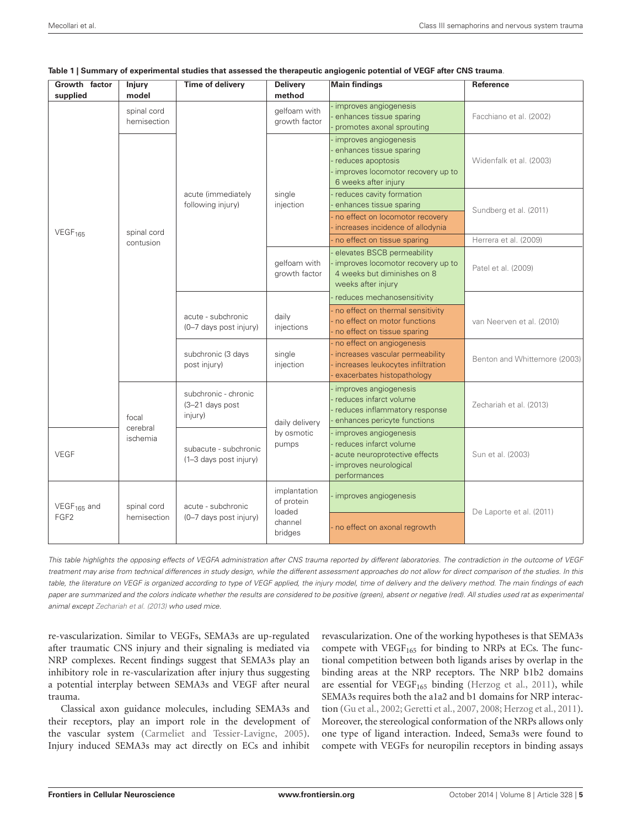| Growth factor<br>supplied                   | <b>Injury</b><br>model     | <b>Time of delivery</b>                            | <b>Delivery</b><br>method                                  | <b>Main findings</b>                                                                                                                   | <b>Reference</b>             |  |
|---------------------------------------------|----------------------------|----------------------------------------------------|------------------------------------------------------------|----------------------------------------------------------------------------------------------------------------------------------------|------------------------------|--|
| VEGF <sub>165</sub>                         | spinal cord<br>hemisection |                                                    | gelfoam with<br>growth factor                              | - improves angiogenesis<br>enhances tissue sparing<br>promotes axonal sprouting                                                        | Facchiano et al. (2002)      |  |
|                                             | spinal cord<br>contusion   | acute (immediately<br>following injury)            |                                                            | improves angiogenesis<br>enhances tissue sparing<br>- reduces apoptosis<br>- improves locomotor recovery up to<br>6 weeks after injury | Widenfalk et al. (2003)      |  |
|                                             |                            |                                                    | single<br>injection                                        | reduces cavity formation<br>enhances tissue sparing<br>- no effect on locomotor recovery<br>increases incidence of allodynia           | Sundberg et al. (2011)       |  |
|                                             |                            |                                                    |                                                            | no effect on tissue sparing                                                                                                            | Herrera et al. (2009)        |  |
|                                             |                            |                                                    | gelfoam with<br>growth factor                              | elevates BSCB permeability<br>improves locomotor recovery up to<br>4 weeks but diminishes on 8<br>weeks after injury                   | Patel et al. (2009)          |  |
|                                             |                            | acute - subchronic<br>(0-7 days post injury)       | daily<br>injections                                        | reduces mechanosensitivity<br>- no effect on thermal sensitivity<br>- no effect on motor functions<br>- no effect on tissue sparing    | van Neerven et al. (2010)    |  |
|                                             |                            | subchronic (3 days<br>post injury)                 | single<br>injection                                        | - no effect on angiogenesis<br>- increases vascular permeability<br>- increases leukocytes infiltration<br>exacerbates histopathology  | Benton and Whittemore (2003) |  |
|                                             | focal                      | subchronic - chronic<br>(3-21 days post<br>injury) | daily delivery                                             | - improves angiogenesis<br>- reduces infarct volume<br>- reduces inflammatory response<br>enhances pericyte functions                  | Zechariah et al. (2013)      |  |
| <b>VEGF</b>                                 | cerebral<br>ischemia       | subacute - subchronic<br>(1-3 days post injury)    | by osmotic<br>pumps                                        | - improves angiogenesis<br>- reduces infarct volume<br>- acute neuroprotective effects<br>- improves neurological<br>performances      | Sun et al. (2003)            |  |
| VEGF <sub>165</sub> and<br>FGF <sub>2</sub> | spinal cord<br>hemisection | acute - subchronic<br>(0-7 days post injury)       | implantation<br>of protein<br>loaded<br>channel<br>bridges | - improves angiogenesis                                                                                                                | De Laporte et al. (2011)     |  |
|                                             |                            |                                                    |                                                            | - no effect on axonal regrowth                                                                                                         |                              |  |

<span id="page-4-0"></span>

|  |  |  |  |  |  | Table 1   Summary of experimental studies that assessed the therapeutic angiogenic potential of VEGF after CNS trauma. |  |  |  |
|--|--|--|--|--|--|------------------------------------------------------------------------------------------------------------------------|--|--|--|
|--|--|--|--|--|--|------------------------------------------------------------------------------------------------------------------------|--|--|--|

This table highlights the opposing effects of VEGFA administration after CNS trauma reported by different laboratories. The contradiction in the outcome of VEGF treatment may arise from technical differences in study design, while the different assessment approaches do not allow for direct comparison of the studies. In this table, the literature on VEGF is organized according to type of VEGF applied, the injury model, time of delivery and the delivery method. The main findings of each paper are summarized and the colors indicate whether the results are considered to be positive (green), absent or negative (red). All studies used rat as experimental animal except [Zechariah et al.](#page-16-12) [\(2013\)](#page-16-12) who used mice.

re-vascularization. Similar to VEGFs, SEMA3s are up-regulated after traumatic CNS injury and their signaling is mediated via NRP complexes. Recent findings suggest that SEMA3s play an inhibitory role in re-vascularization after injury thus suggesting a potential interplay between SEMA3s and VEGF after neural trauma.

Classical axon guidance molecules, including SEMA3s and their receptors, play an import role in the development of the vascular system [\(Carmeliet and Tessier-Lavigne,](#page-12-20) [2005\)](#page-12-20). Injury induced SEMA3s may act directly on ECs and inhibit

revascularization. One of the working hypotheses is that SEMA3s compete with  $VEGF<sub>165</sub>$  for binding to NRPs at ECs. The functional competition between both ligands arises by overlap in the binding areas at the NRP receptors. The NRP b1b2 domains are essential for VEGF<sub>165</sub> binding [\(Herzog et al.,](#page-13-3) [2011\)](#page-13-3), while SEMA3s requires both the a1a2 and b1 domains for NRP interaction [\(Gu et al.,](#page-13-19) [2002;](#page-13-19) [Geretti et al.,](#page-13-27) [2007,](#page-13-27) [2008;](#page-13-13) [Herzog et al.,](#page-13-3) [2011\)](#page-13-3). Moreover, the stereological conformation of the NRPs allows only one type of ligand interaction. Indeed, Sema3s were found to compete with VEGFs for neuropilin receptors in binding assays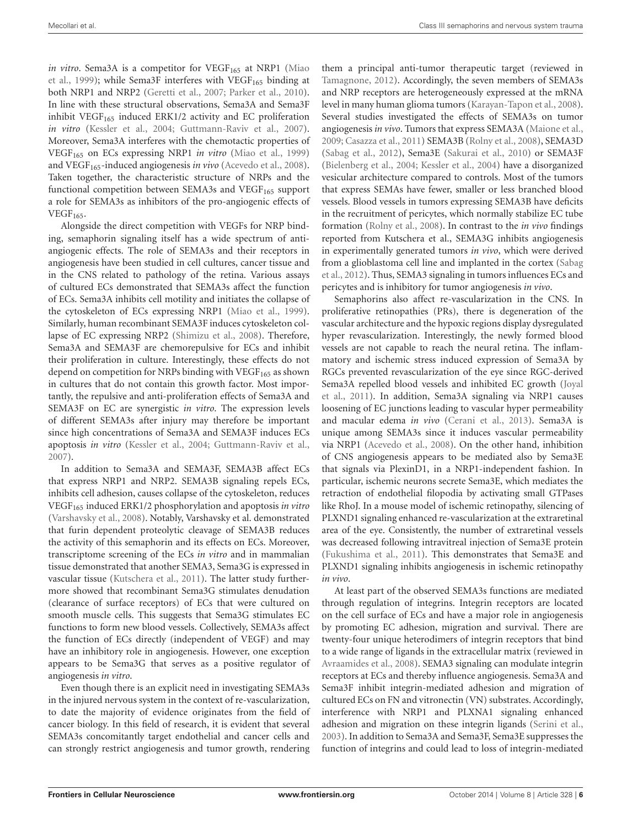*in vitro*. Sema3A is a competitor for VEGF<sub>165</sub> at NRP1 [\(Miao](#page-14-18) [et al.,](#page-14-18) [1999\)](#page-14-18); while Sema3F interferes with  $VEGF<sub>165</sub>$  binding at both NRP1 and NRP2 [\(Geretti et al.,](#page-13-27) [2007;](#page-13-27) [Parker et al.,](#page-15-3) [2010\)](#page-15-3). In line with these structural observations, Sema3A and Sema3F inhibit VEGF $_{165}$  induced ERK1/2 activity and EC proliferation *in vitro* [\(Kessler et al.,](#page-14-19) [2004;](#page-14-19) [Guttmann-Raviv et al.,](#page-13-28) [2007\)](#page-13-28). Moreover, Sema3A interferes with the chemotactic properties of VEGF<sup>165</sup> on ECs expressing NRP1 *in vitro* [\(Miao et al.,](#page-14-18) [1999\)](#page-14-18) and VEGF<sub>165</sub>-induced angiogenesis *in vivo* [\(Acevedo et al.,](#page-11-0) [2008\)](#page-11-0). Taken together, the characteristic structure of NRPs and the functional competition between SEMA3s and VEGF $_{165}$  support a role for SEMA3s as inhibitors of the pro-angiogenic effects of  $VEGF<sub>165</sub>$ .

Alongside the direct competition with VEGFs for NRP binding, semaphorin signaling itself has a wide spectrum of antiangiogenic effects. The role of SEMA3s and their receptors in angiogenesis have been studied in cell cultures, cancer tissue and in the CNS related to pathology of the retina. Various assays of cultured ECs demonstrated that SEMA3s affect the function of ECs. Sema3A inhibits cell motility and initiates the collapse of the cytoskeleton of ECs expressing NRP1 [\(Miao et al.,](#page-14-18) [1999\)](#page-14-18). Similarly, human recombinant SEMA3F induces cytoskeleton collapse of EC expressing NRP2 [\(Shimizu et al.,](#page-15-25) [2008\)](#page-15-25). Therefore, Sema3A and SEMA3F are chemorepulsive for ECs and inhibit their proliferation in culture. Interestingly, these effects do not depend on competition for NRPs binding with  $VEGF<sub>165</sub>$  as shown in cultures that do not contain this growth factor. Most importantly, the repulsive and anti-proliferation effects of Sema3A and SEMA3F on EC are synergistic *in vitro*. The expression levels of different SEMA3s after injury may therefore be important since high concentrations of Sema3A and SEMA3F induces ECs apoptosis *in vitro* [\(Kessler et al.,](#page-14-19) [2004;](#page-14-19) [Guttmann-Raviv et al.,](#page-13-28) [2007\)](#page-13-28).

In addition to Sema3A and SEMA3F, SEMA3B affect ECs that express NRP1 and NRP2. SEMA3B signaling repels ECs, inhibits cell adhesion, causes collapse of the cytoskeleton, reduces VEGF<sup>165</sup> induced ERK1/2 phosphorylation and apoptosis *in vitro* [\(Varshavsky et al.,](#page-16-16) [2008\)](#page-16-16). Notably, Varshavsky et al. demonstrated that furin dependent proteolytic cleavage of SEMA3B reduces the activity of this semaphorin and its effects on ECs. Moreover, transcriptome screening of the ECs *in vitro* and in mammalian tissue demonstrated that another SEMA3, Sema3G is expressed in vascular tissue [\(Kutschera et al.,](#page-14-20) [2011\)](#page-14-20). The latter study furthermore showed that recombinant Sema3G stimulates denudation (clearance of surface receptors) of ECs that were cultured on smooth muscle cells. This suggests that Sema3G stimulates EC functions to form new blood vessels. Collectively, SEMA3s affect the function of ECs directly (independent of VEGF) and may have an inhibitory role in angiogenesis. However, one exception appears to be Sema3G that serves as a positive regulator of angiogenesis *in vitro*.

Even though there is an explicit need in investigating SEMA3s in the injured nervous system in the context of re-vascularization, to date the majority of evidence originates from the field of cancer biology. In this field of research, it is evident that several SEMA3s concomitantly target endothelial and cancer cells and can strongly restrict angiogenesis and tumor growth, rendering

them a principal anti-tumor therapeutic target (reviewed in [Tamagnone,](#page-16-17) [2012\)](#page-16-17). Accordingly, the seven members of SEMA3s and NRP receptors are heterogeneously expressed at the mRNA level in many human glioma tumors [\(Karayan-Tapon et al.,](#page-14-21) [2008\)](#page-14-21). Several studies investigated the effects of SEMA3s on tumor angiogenesis *in vivo*. Tumors that express SEMA3A [\(Maione et al.,](#page-14-22) [2009;](#page-14-22) [Casazza et al.,](#page-12-21) [2011\)](#page-12-21) SEMA3B [\(Rolny et al.,](#page-15-26) [2008\)](#page-15-26), SEMA3D [\(Sabag et al.,](#page-15-27) [2012\)](#page-15-27), Sema3E [\(Sakurai et al.,](#page-15-28) [2010\)](#page-15-28) or SEMA3F [\(Bielenberg et al.,](#page-12-22) [2004;](#page-12-22) [Kessler et al.,](#page-14-19) [2004\)](#page-14-19) have a disorganized vesicular architecture compared to controls. Most of the tumors that express SEMAs have fewer, smaller or less branched blood vessels. Blood vessels in tumors expressing SEMA3B have deficits in the recruitment of pericytes, which normally stabilize EC tube formation [\(Rolny et al.,](#page-15-26) [2008\)](#page-15-26). In contrast to the *in vivo* findings reported from Kutschera et al., SEMA3G inhibits angiogenesis in experimentally generated tumors *in vivo*, which were derived from a glioblastoma cell line and implanted in the cortex [\(Sabag](#page-15-27) [et al.,](#page-15-27) [2012\)](#page-15-27). Thus, SEMA3 signaling in tumors influences ECs and pericytes and is inhibitory for tumor angiogenesis *in vivo*.

Semaphorins also affect re-vascularization in the CNS. In proliferative retinopathies (PRs), there is degeneration of the vascular architecture and the hypoxic regions display dysregulated hyper revascularization. Interestingly, the newly formed blood vessels are not capable to reach the neural retina. The inflammatory and ischemic stress induced expression of Sema3A by RGCs prevented revascularization of the eye since RGC-derived Sema3A repelled blood vessels and inhibited EC growth [\(Joyal](#page-13-12) [et al.,](#page-13-12) [2011\)](#page-13-12). In addition, Sema3A signaling via NRP1 causes loosening of EC junctions leading to vascular hyper permeability and macular edema *in vivo* [\(Cerani et al.,](#page-12-23) [2013\)](#page-12-23). Sema3A is unique among SEMA3s since it induces vascular permeability via NRP1 [\(Acevedo et al.,](#page-11-0) [2008\)](#page-11-0). On the other hand, inhibition of CNS angiogenesis appears to be mediated also by Sema3E that signals via PlexinD1, in a NRP1-independent fashion. In particular, ischemic neurons secrete Sema3E, which mediates the retraction of endothelial filopodia by activating small GTPases like RhoJ. In a mouse model of ischemic retinopathy, silencing of PLXND1 signaling enhanced re-vascularization at the extraretinal area of the eye. Consistently, the number of extraretinal vessels was decreased following intravitreal injection of Sema3E protein [\(Fukushima et al.,](#page-13-29) [2011\)](#page-13-29). This demonstrates that Sema3E and PLXND1 signaling inhibits angiogenesis in ischemic retinopathy *in vivo*.

At least part of the observed SEMA3s functions are mediated through regulation of integrins. Integrin receptors are located on the cell surface of ECs and have a major role in angiogenesis by promoting EC adhesion, migration and survival. There are twenty-four unique heterodimers of integrin receptors that bind to a wide range of ligands in the extracellular matrix (reviewed in [Avraamides et al.,](#page-12-24) [2008\)](#page-12-24). SEMA3 signaling can modulate integrin receptors at ECs and thereby influence angiogenesis. Sema3A and Sema3F inhibit integrin-mediated adhesion and migration of cultured ECs on FN and vitronectin (VN) substrates. Accordingly, interference with NRP1 and PLXNA1 signaling enhanced adhesion and migration on these integrin ligands [\(Serini et al.,](#page-15-29) [2003\)](#page-15-29). In addition to Sema3A and Sema3F, Sema3E suppresses the function of integrins and could lead to loss of integrin-mediated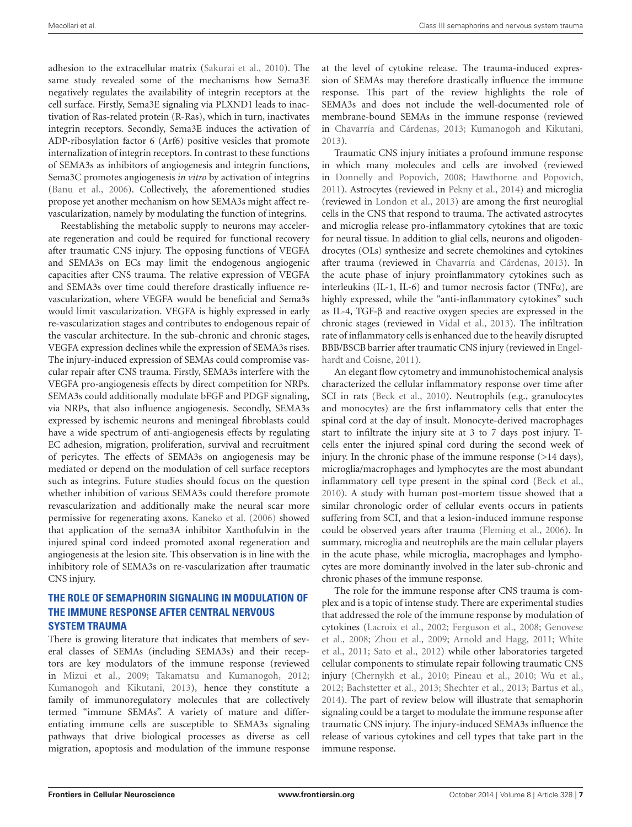adhesion to the extracellular matrix [\(Sakurai et al.,](#page-15-28) [2010\)](#page-15-28). The same study revealed some of the mechanisms how Sema3E negatively regulates the availability of integrin receptors at the cell surface. Firstly, Sema3E signaling via PLXND1 leads to inactivation of Ras**-**related protein (R-Ras), which in turn, inactivates integrin receptors. Secondly, Sema3E induces the activation of ADP-ribosylation factor 6 (Arf6) positive vesicles that promote internalization of integrin receptors. In contrast to these functions of SEMA3s as inhibitors of angiogenesis and integrin functions, Sema3C promotes angiogenesis *in vitro* by activation of integrins [\(Banu et al.,](#page-12-25) [2006\)](#page-12-25). Collectively, the aforementioned studies propose yet another mechanism on how SEMA3s might affect revascularization, namely by modulating the function of integrins.

Reestablishing the metabolic supply to neurons may accelerate regeneration and could be required for functional recovery after traumatic CNS injury. The opposing functions of VEGFA and SEMA3s on ECs may limit the endogenous angiogenic capacities after CNS trauma. The relative expression of VEGFA and SEMA3s over time could therefore drastically influence revascularization, where VEGFA would be beneficial and Sema3s would limit vascularization. VEGFA is highly expressed in early re-vascularization stages and contributes to endogenous repair of the vascular architecture. In the sub-chronic and chronic stages, VEGFA expression declines while the expression of SEMA3s rises. The injury-induced expression of SEMAs could compromise vascular repair after CNS trauma. Firstly, SEMA3s interfere with the VEGFA pro-angiogenesis effects by direct competition for NRPs. SEMA3s could additionally modulate bFGF and PDGF signaling, via NRPs, that also influence angiogenesis. Secondly, SEMA3s expressed by ischemic neurons and meningeal fibroblasts could have a wide spectrum of anti-angiogenesis effects by regulating EC adhesion, migration, proliferation, survival and recruitment of pericytes. The effects of SEMA3s on angiogenesis may be mediated or depend on the modulation of cell surface receptors such as integrins. Future studies should focus on the question whether inhibition of various SEMA3s could therefore promote revascularization and additionally make the neural scar more permissive for regenerating axons. [Kaneko et al.](#page-13-18) [\(2006\)](#page-13-18) showed that application of the sema3A inhibitor Xanthofulvin in the injured spinal cord indeed promoted axonal regeneration and angiogenesis at the lesion site. This observation is in line with the inhibitory role of SEMA3s on re-vascularization after traumatic CNS injury.

# **THE ROLE OF SEMAPHORIN SIGNALING IN MODULATION OF THE IMMUNE RESPONSE AFTER CENTRAL NERVOUS SYSTEM TRAUMA**

There is growing literature that indicates that members of several classes of SEMAs (including SEMA3s) and their receptors are key modulators of the immune response (reviewed in [Mizui et al.,](#page-14-7) [2009;](#page-14-7) [Takamatsu and Kumanogoh,](#page-16-6) [2012;](#page-16-6) [Kumanogoh and Kikutani,](#page-14-8) [2013\)](#page-14-8), hence they constitute a family of immunoregulatory molecules that are collectively termed "immune SEMAs". A variety of mature and differentiating immune cells are susceptible to SEMA3s signaling pathways that drive biological processes as diverse as cell migration, apoptosis and modulation of the immune response

at the level of cytokine release. The trauma-induced expression of SEMAs may therefore drastically influence the immune response. This part of the review highlights the role of SEMA3s and does not include the well-documented role of membrane-bound SEMAs in the immune response (reviewed in [Chavarría and Cárdenas,](#page-12-26) [2013;](#page-12-26) [Kumanogoh and Kikutani,](#page-14-8) [2013\)](#page-14-8).

Traumatic CNS injury initiates a profound immune response in which many molecules and cells are involved (reviewed in [Donnelly and Popovich,](#page-13-30) [2008;](#page-13-30) [Hawthorne and Popovich,](#page-13-31) [2011\)](#page-13-31). Astrocytes (reviewed in [Pekny et al.,](#page-15-30) [2014\)](#page-15-30) and microglia (reviewed in [London et al.,](#page-14-23) [2013\)](#page-14-23) are among the first neuroglial cells in the CNS that respond to trauma. The activated astrocytes and microglia release pro-inflammatory cytokines that are toxic for neural tissue. In addition to glial cells, neurons and oligodendrocytes (OLs) synthesize and secrete chemokines and cytokines after trauma (reviewed in [Chavarría and Cárdenas,](#page-12-26) [2013\)](#page-12-26). In the acute phase of injury proinflammatory cytokines such as interleukins (IL-1, IL-6) and tumor necrosis factor (TNF $\alpha$ ), are highly expressed, while the "anti-inflammatory cytokines" such as IL-4, TGF-β and reactive oxygen species are expressed in the chronic stages (reviewed in [Vidal et al.,](#page-16-18) [2013\)](#page-16-18). The infiltration rate of inflammatory cells is enhanced due to the heavily disrupted BBB/BSCB barrier after traumatic CNS injury (reviewed in [Engel](#page-13-21)[hardt and Coisne,](#page-13-21) [2011\)](#page-13-21).

An elegant flow cytometry and immunohistochemical analysis characterized the cellular inflammatory response over time after SCI in rats [\(Beck et al.,](#page-12-27) [2010\)](#page-12-27). Neutrophils (e.g., granulocytes and monocytes) are the first inflammatory cells that enter the spinal cord at the day of insult. Monocyte-derived macrophages start to infiltrate the injury site at 3 to 7 days post injury. Tcells enter the injured spinal cord during the second week of injury. In the chronic phase of the immune response (>14 days), microglia/macrophages and lymphocytes are the most abundant inflammatory cell type present in the spinal cord [\(Beck et al.,](#page-12-27) [2010\)](#page-12-27). A study with human post-mortem tissue showed that a similar chronologic order of cellular events occurs in patients suffering from SCI, and that a lesion-induced immune response could be observed years after trauma [\(Fleming et al.,](#page-13-32) [2006\)](#page-13-32). In summary, microglia and neutrophils are the main cellular players in the acute phase, while microglia, macrophages and lymphocytes are more dominantly involved in the later sub-chronic and chronic phases of the immune response.

The role for the immune response after CNS trauma is complex and is a topic of intense study. There are experimental studies that addressed the role of the immune response by modulation of cytokines [\(Lacroix et al.,](#page-14-24) [2002;](#page-14-24) [Ferguson et al.,](#page-13-33) [2008;](#page-13-33) [Genovese](#page-13-34) [et al.,](#page-13-34) [2008;](#page-13-34) [Zhou et al.,](#page-16-19) [2009;](#page-16-19) [Arnold and Hagg,](#page-12-28) [2011;](#page-12-28) [White](#page-16-20) [et al.,](#page-16-20) [2011;](#page-16-20) [Sato et al.,](#page-15-31) [2012\)](#page-15-31) while other laboratories targeted cellular components to stimulate repair following traumatic CNS injury [\(Chernykh et al.,](#page-12-29) [2010;](#page-12-29) [Pineau et al.,](#page-15-32) [2010;](#page-15-32) [Wu et al.,](#page-16-21) [2012;](#page-16-21) [Bachstetter et al.,](#page-12-30) [2013;](#page-12-30) [Shechter et al.,](#page-15-33) [2013;](#page-15-33) [Bartus et al.,](#page-12-31) [2014\)](#page-12-31). The part of review below will illustrate that semaphorin signaling could be a target to modulate the immune response after traumatic CNS injury. The injury-induced SEMA3s influence the release of various cytokines and cell types that take part in the immune response.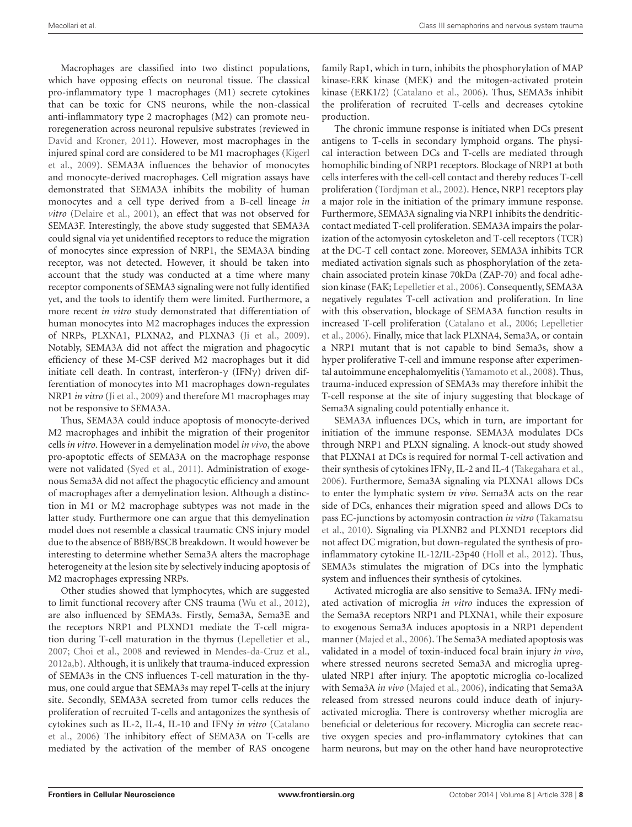Macrophages are classified into two distinct populations, which have opposing effects on neuronal tissue. The classical pro-inflammatory type 1 macrophages (M1) secrete cytokines that can be toxic for CNS neurons, while the non-classical anti-inflammatory type 2 macrophages (M2) can promote neuroregeneration across neuronal repulsive substrates (reviewed in [David and Kroner,](#page-12-32) [2011\)](#page-12-32). However, most macrophages in the injured spinal cord are considered to be M1 macrophages [\(Kigerl](#page-14-25) [et al.,](#page-14-25) [2009\)](#page-14-25). SEMA3A influences the behavior of monocytes and monocyte-derived macrophages. Cell migration assays have demonstrated that SEMA3A inhibits the mobility of human monocytes and a cell type derived from a B-cell lineage *in vitro* [\(Delaire et al.,](#page-12-33) [2001\)](#page-12-33), an effect that was not observed for SEMA3F. Interestingly, the above study suggested that SEMA3A could signal via yet unidentified receptors to reduce the migration of monocytes since expression of NRP1, the SEMA3A binding receptor, was not detected. However, it should be taken into account that the study was conducted at a time where many receptor components of SEMA3 signaling were not fully identified yet, and the tools to identify them were limited. Furthermore, a more recent *in vitro* study demonstrated that differentiation of human monocytes into M2 macrophages induces the expression of NRPs, PLXNA1, PLXNA2, and PLXNA3 [\(Ji et al.,](#page-13-10) [2009\)](#page-13-10). Notably, SEMA3A did not affect the migration and phagocytic efficiency of these M-CSF derived M2 macrophages but it did initiate cell death. In contrast, interferon- $\gamma$  (IFN $\gamma$ ) driven differentiation of monocytes into M1 macrophages down-regulates NRP1 *in vitro* [\(Ji et al.,](#page-13-10) [2009\)](#page-13-10) and therefore M1 macrophages may not be responsive to SEMA3A.

Thus, SEMA3A could induce apoptosis of monocyte-derived M2 macrophages and inhibit the migration of their progenitor cells *in vitro*. However in a demyelination model *in vivo*, the above pro-apoptotic effects of SEMA3A on the macrophage response were not validated [\(Syed et al.,](#page-16-22) [2011\)](#page-16-22). Administration of exogenous Sema3A did not affect the phagocytic efficiency and amount of macrophages after a demyelination lesion. Although a distinction in M1 or M2 macrophage subtypes was not made in the latter study. Furthermore one can argue that this demyelination model does not resemble a classical traumatic CNS injury model due to the absence of BBB/BSCB breakdown. It would however be interesting to determine whether Sema3A alters the macrophage heterogeneity at the lesion site by selectively inducing apoptosis of M2 macrophages expressing NRPs.

Other studies showed that lymphocytes, which are suggested to limit functional recovery after CNS trauma [\(Wu et al.,](#page-16-21) [2012\)](#page-16-21), are also influenced by SEMA3s. Firstly, Sema3A, Sema3E and the receptors NRP1 and PLXND1 mediate the T-cell migration during T-cell maturation in the thymus [\(Lepelletier et al.,](#page-14-26) [2007;](#page-14-26) [Choi et al.,](#page-12-34) [2008](#page-12-34) and reviewed in [Mendes-da-Cruz et al.,](#page-14-27) [2012a,](#page-14-27)[b\)](#page-14-28). Although, it is unlikely that trauma-induced expression of SEMA3s in the CNS influences T-cell maturation in the thymus, one could argue that SEMA3s may repel T-cells at the injury site. Secondly, SEMA3A secreted from tumor cells reduces the proliferation of recruited T-cells and antagonizes the synthesis of cytokines such as IL-2, IL-4, IL-10 and IFNγ *in vitro* [\(Catalano](#page-12-35) [et al.,](#page-12-35) [2006\)](#page-12-35) The inhibitory effect of SEMA3A on T-cells are mediated by the activation of the member of RAS oncogene

family Rap1, which in turn, inhibits the phosphorylation of MAP kinase-ERK kinase (MEK) and the mitogen-activated protein kinase (ERK1/2) [\(Catalano et al.,](#page-12-35) [2006\)](#page-12-35). Thus, SEMA3s inhibit the proliferation of recruited T-cells and decreases cytokine production.

The chronic immune response is initiated when DCs present antigens to T-cells in secondary lymphoid organs. The physical interaction between DCs and T-cells are mediated through homophilic binding of NRP1 receptors. Blockage of NRP1 at both cells interferes with the cell-cell contact and thereby reduces T-cell proliferation [\(Tordjman et al.,](#page-16-23) [2002\)](#page-16-23). Hence, NRP1 receptors play a major role in the initiation of the primary immune response. Furthermore, SEMA3A signaling via NRP1 inhibits the dendriticcontact mediated T-cell proliferation. SEMA3A impairs the polarization of the actomyosin cytoskeleton and T-cell receptors (TCR) at the DC-T cell contact zone. Moreover, SEMA3A inhibits TCR mediated activation signals such as phosphorylation of the zetachain associated protein kinase 70kDa (ZAP-70) and focal adhesion kinase (FAK; [Lepelletier et al.,](#page-14-5) [2006\)](#page-14-5). Consequently, SEMA3A negatively regulates T-cell activation and proliferation. In line with this observation, blockage of SEMA3A function results in increased T-cell proliferation [\(Catalano et al.,](#page-12-35) [2006;](#page-12-35) [Lepelletier](#page-14-5) [et al.,](#page-14-5) [2006\)](#page-14-5). Finally, mice that lack PLXNA4, Sema3A, or contain a NRP1 mutant that is not capable to bind Sema3s, show a hyper proliferative T-cell and immune response after experimental autoimmune encephalomyelitis [\(Yamamoto et al.,](#page-16-24) [2008\)](#page-16-24). Thus, trauma-induced expression of SEMA3s may therefore inhibit the T-cell response at the site of injury suggesting that blockage of Sema3A signaling could potentially enhance it.

SEMA3A influences DCs, which in turn, are important for initiation of the immune response. SEMA3A modulates DCs through NRP1 and PLXN signaling. A knock-out study showed that PLXNA1 at DCs is required for normal T-cell activation and their synthesis of cytokines IFNγ, IL-2 and IL-4 [\(Takegahara et al.,](#page-16-25) [2006\)](#page-16-25). Furthermore, Sema3A signaling via PLXNA1 allows DCs to enter the lymphatic system *in vivo*. Sema3A acts on the rear side of DCs, enhances their migration speed and allows DCs to pass EC-junctions by actomyosin contraction *in vitro* [\(Takamatsu](#page-16-26) [et al.,](#page-16-26) [2010\)](#page-16-26). Signaling via PLXNB2 and PLXND1 receptors did not affect DC migration, but down-regulated the synthesis of proinflammatory cytokine IL-12/IL-23p40 [\(Holl et al.,](#page-13-35) [2012\)](#page-13-35). Thus, SEMA3s stimulates the migration of DCs into the lymphatic system and influences their synthesis of cytokines.

Activated microglia are also sensitive to Sema3A. IFNγ mediated activation of microglia *in vitro* induces the expression of the Sema3A receptors NRP1 and PLXNA1, while their exposure to exogenous Sema3A induces apoptosis in a NRP1 dependent manner [\(Majed et al.,](#page-14-6) [2006\)](#page-14-6). The Sema3A mediated apoptosis was validated in a model of toxin-induced focal brain injury *in vivo*, where stressed neurons secreted Sema3A and microglia upregulated NRP1 after injury. The apoptotic microglia co-localized with Sema3A *in vivo* [\(Majed et al.,](#page-14-6) [2006\)](#page-14-6), indicating that Sema3A released from stressed neurons could induce death of injuryactivated microglia. There is controversy whether microglia are beneficial or deleterious for recovery. Microglia can secrete reactive oxygen species and pro-inflammatory cytokines that can harm neurons, but may on the other hand have neuroprotective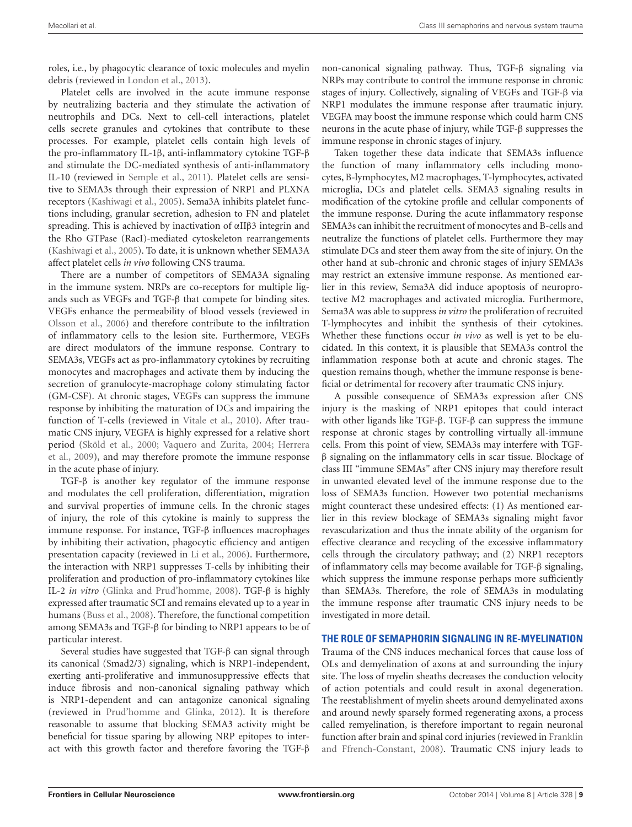roles, i.e., by phagocytic clearance of toxic molecules and myelin debris (reviewed in [London et al.,](#page-14-23) [2013\)](#page-14-23).

Platelet cells are involved in the acute immune response by neutralizing bacteria and they stimulate the activation of neutrophils and DCs. Next to cell-cell interactions, platelet cells secrete granules and cytokines that contribute to these processes. For example, platelet cells contain high levels of the pro-inflammatory IL-1β, anti-inflammatory cytokine TGF-β and stimulate the DC-mediated synthesis of anti-inflammatory IL-10 (reviewed in [Semple et al.,](#page-15-34) [2011\)](#page-15-34). Platelet cells are sensitive to SEMA3s through their expression of NRP1 and PLXNA receptors [\(Kashiwagi et al.,](#page-14-29) [2005\)](#page-14-29). Sema3A inhibits platelet functions including, granular secretion, adhesion to FN and platelet spreading. This is achieved by inactivation of αIIβ3 integrin and the Rho GTPase (RacI)-mediated cytoskeleton rearrangements [\(Kashiwagi et al.,](#page-14-29) [2005\)](#page-14-29). To date, it is unknown whether SEMA3A affect platelet cells *in vivo* following CNS trauma.

There are a number of competitors of SEMA3A signaling in the immune system. NRPs are co-receptors for multiple ligands such as VEGFs and TGF-β that compete for binding sites. VEGFs enhance the permeability of blood vessels (reviewed in [Olsson et al.,](#page-15-20) [2006\)](#page-15-20) and therefore contribute to the infiltration of inflammatory cells to the lesion site. Furthermore, VEGFs are direct modulators of the immune response. Contrary to SEMA3s, VEGFs act as pro-inflammatory cytokines by recruiting monocytes and macrophages and activate them by inducing the secretion of granulocyte-macrophage colony stimulating factor (GM-CSF). At chronic stages, VEGFs can suppress the immune response by inhibiting the maturation of DCs and impairing the function of T-cells (reviewed in [Vitale et al.,](#page-16-27) [2010\)](#page-16-27). After traumatic CNS injury, VEGFA is highly expressed for a relative short period [\(Sköld et al.,](#page-15-22) [2000;](#page-15-22) [Vaquero and Zurita,](#page-16-11) [2004;](#page-16-11) [Herrera](#page-13-23) [et al.,](#page-13-23) [2009\)](#page-13-23), and may therefore promote the immune response in the acute phase of injury.

TGF-β is another key regulator of the immune response and modulates the cell proliferation, differentiation, migration and survival properties of immune cells. In the chronic stages of injury, the role of this cytokine is mainly to suppress the immune response. For instance, TGF-β influences macrophages by inhibiting their activation, phagocytic efficiency and antigen presentation capacity (reviewed in [Li et al.,](#page-14-30) [2006\)](#page-14-30). Furthermore, the interaction with NRP1 suppresses T-cells by inhibiting their proliferation and production of pro-inflammatory cytokines like IL-2 *in vitro* [\(Glinka and Prud'homme,](#page-13-4) [2008\)](#page-13-4). TGF-β is highly expressed after traumatic SCI and remains elevated up to a year in humans [\(Buss et al.,](#page-12-36) [2008\)](#page-12-36). Therefore, the functional competition among SEMA3s and TGF-β for binding to NRP1 appears to be of particular interest.

Several studies have suggested that TGF-β can signal through its canonical (Smad2/3) signaling, which is NRP1-independent, exerting anti-proliferative and immunosuppressive effects that induce fibrosis and non-canonical signaling pathway which is NRP1-dependent and can antagonize canonical signaling (reviewed in [Prud'homme and Glinka,](#page-15-35) [2012\)](#page-15-35). It is therefore reasonable to assume that blocking SEMA3 activity might be beneficial for tissue sparing by allowing NRP epitopes to interact with this growth factor and therefore favoring the TGF-β

non-canonical signaling pathway. Thus, TGF-β signaling via NRPs may contribute to control the immune response in chronic stages of injury. Collectively, signaling of VEGFs and TGF-β via NRP1 modulates the immune response after traumatic injury. VEGFA may boost the immune response which could harm CNS neurons in the acute phase of injury, while TGF-β suppresses the immune response in chronic stages of injury.

Taken together these data indicate that SEMA3s influence the function of many inflammatory cells including monocytes, B-lymphocytes, M2 macrophages, T-lymphocytes, activated microglia, DCs and platelet cells. SEMA3 signaling results in modification of the cytokine profile and cellular components of the immune response. During the acute inflammatory response SEMA3s can inhibit the recruitment of monocytes and B-cells and neutralize the functions of platelet cells. Furthermore they may stimulate DCs and steer them away from the site of injury. On the other hand at sub-chronic and chronic stages of injury SEMA3s may restrict an extensive immune response. As mentioned earlier in this review, Sema3A did induce apoptosis of neuroprotective M2 macrophages and activated microglia. Furthermore, Sema3A was able to suppress *in vitro* the proliferation of recruited T-lymphocytes and inhibit the synthesis of their cytokines. Whether these functions occur *in vivo* as well is yet to be elucidated. In this context, it is plausible that SEMA3s control the inflammation response both at acute and chronic stages. The question remains though, whether the immune response is beneficial or detrimental for recovery after traumatic CNS injury.

A possible consequence of SEMA3s expression after CNS injury is the masking of NRP1 epitopes that could interact with other ligands like TGF-β. TGF-β can suppress the immune response at chronic stages by controlling virtually all-immune cells. From this point of view, SEMA3s may interfere with TGFβ signaling on the inflammatory cells in scar tissue. Blockage of class III "immune SEMAs" after CNS injury may therefore result in unwanted elevated level of the immune response due to the loss of SEMA3s function. However two potential mechanisms might counteract these undesired effects: (1) As mentioned earlier in this review blockage of SEMA3s signaling might favor revascularization and thus the innate ability of the organism for effective clearance and recycling of the excessive inflammatory cells through the circulatory pathway; and (2) NRP1 receptors of inflammatory cells may become available for TGF-β signaling, which suppress the immune response perhaps more sufficiently than SEMA3s. Therefore, the role of SEMA3s in modulating the immune response after traumatic CNS injury needs to be investigated in more detail.

#### **THE ROLE OF SEMAPHORIN SIGNALING IN RE-MYELINATION**

Trauma of the CNS induces mechanical forces that cause loss of OLs and demyelination of axons at and surrounding the injury site. The loss of myelin sheaths decreases the conduction velocity of action potentials and could result in axonal degeneration. The reestablishment of myelin sheets around demyelinated axons and around newly sparsely formed regenerating axons, a process called remyelination, is therefore important to regain neuronal function after brain and spinal cord injuries (reviewed in [Franklin](#page-13-36) [and Ffrench-Constant,](#page-13-36) [2008\)](#page-13-36). Traumatic CNS injury leads to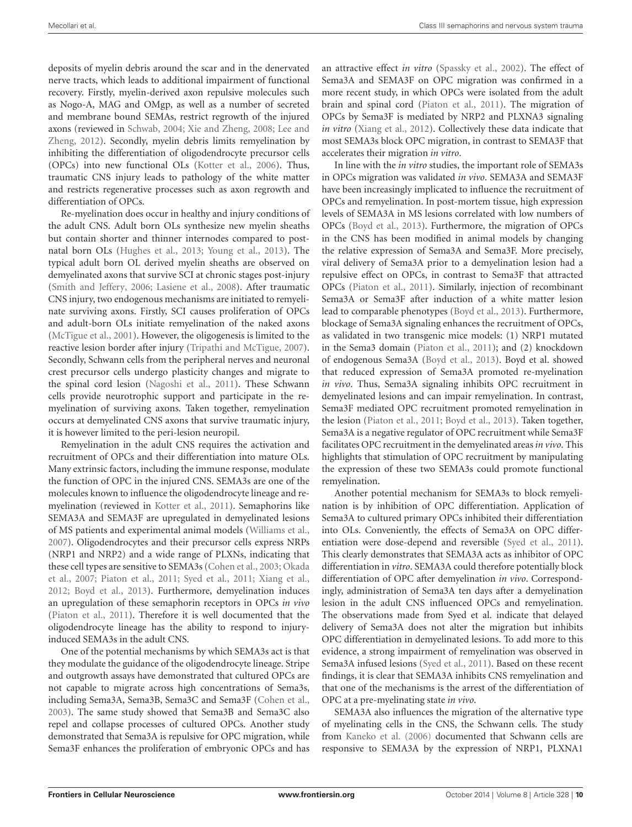deposits of myelin debris around the scar and in the denervated nerve tracts, which leads to additional impairment of functional recovery. Firstly, myelin-derived axon repulsive molecules such as Nogo-A, MAG and OMgp, as well as a number of secreted and membrane bound SEMAs, restrict regrowth of the injured axons (reviewed in [Schwab,](#page-15-36) [2004;](#page-15-36) [Xie and Zheng,](#page-16-7) [2008;](#page-16-7) [Lee and](#page-14-31) [Zheng,](#page-14-31) [2012\)](#page-14-31). Secondly, myelin debris limits remyelination by inhibiting the differentiation of oligodendrocyte precursor cells (OPCs) into new functional OLs [\(Kotter et al.,](#page-14-32) [2006\)](#page-14-32). Thus, traumatic CNS injury leads to pathology of the white matter and restricts regenerative processes such as axon regrowth and differentiation of OPCs.

Re-myelination does occur in healthy and injury conditions of the adult CNS. Adult born OLs synthesize new myelin sheaths but contain shorter and thinner internodes compared to postnatal born OLs [\(Hughes et al.,](#page-13-37) [2013;](#page-13-37) [Young et al.,](#page-16-28) [2013\)](#page-16-28). The typical adult born OL derived myelin sheaths are observed on demyelinated axons that survive SCI at chronic stages post-injury [\(Smith and Jeffery,](#page-15-37) [2006;](#page-15-37) [Lasiene et al.,](#page-14-33) [2008\)](#page-14-33). After traumatic CNS injury, two endogenous mechanisms are initiated to remyelinate surviving axons. Firstly, SCI causes proliferation of OPCs and adult-born OLs initiate remyelination of the naked axons [\(McTigue et al.,](#page-14-34) [2001\)](#page-14-34). However, the oligogenesis is limited to the reactive lesion border after injury [\(Tripathi and McTigue,](#page-16-29) [2007\)](#page-16-29). Secondly, Schwann cells from the peripheral nerves and neuronal crest precursor cells undergo plasticity changes and migrate to the spinal cord lesion [\(Nagoshi et al.,](#page-14-35) [2011\)](#page-14-35). These Schwann cells provide neurotrophic support and participate in the remyelination of surviving axons. Taken together, remyelination occurs at demyelinated CNS axons that survive traumatic injury, it is however limited to the peri-lesion neuropil.

Remyelination in the adult CNS requires the activation and recruitment of OPCs and their differentiation into mature OLs. Many extrinsic factors, including the immune response, modulate the function of OPC in the injured CNS. SEMA3s are one of the molecules known to influence the oligodendrocyte lineage and remyelination (reviewed in [Kotter et al.,](#page-14-10) [2011\)](#page-14-10). Semaphorins like SEMA3A and SEMA3F are upregulated in demyelinated lesions of MS patients and experimental animal models [\(Williams et al.,](#page-16-5) [2007\)](#page-16-5). Oligodendrocytes and their precursor cells express NRPs (NRP1 and NRP2) and a wide range of PLXNs, indicating that these cell types are sensitive to SEMA3s [\(Cohen et al.,](#page-12-37) [2003;](#page-12-37) [Okada](#page-15-38) [et al.,](#page-15-38) [2007;](#page-15-38) [Piaton et al.,](#page-15-12) [2011;](#page-15-12) [Syed et al.,](#page-16-22) [2011;](#page-16-22) [Xiang et al.,](#page-16-30) [2012;](#page-16-30) [Boyd et al.,](#page-12-7) [2013\)](#page-12-7). Furthermore, demyelination induces an upregulation of these semaphorin receptors in OPCs *in vivo* [\(Piaton et al.,](#page-15-12) [2011\)](#page-15-12). Therefore it is well documented that the oligodendrocyte lineage has the ability to respond to injuryinduced SEMA3s in the adult CNS.

One of the potential mechanisms by which SEMA3s act is that they modulate the guidance of the oligodendrocyte lineage. Stripe and outgrowth assays have demonstrated that cultured OPCs are not capable to migrate across high concentrations of Sema3s, including Sema3A, Sema3B, Sema3C and Sema3F [\(Cohen et al.,](#page-12-37) [2003\)](#page-12-37). The same study showed that Sema3B and Sema3C also repel and collapse processes of cultured OPCs. Another study demonstrated that Sema3A is repulsive for OPC migration, while Sema3F enhances the proliferation of embryonic OPCs and has

an attractive effect *in vitro* [\(Spassky et al.,](#page-16-31) [2002\)](#page-16-31). The effect of Sema3A and SEMA3F on OPC migration was confirmed in a more recent study, in which OPCs were isolated from the adult brain and spinal cord [\(Piaton et al.,](#page-15-12) [2011\)](#page-15-12). The migration of OPCs by Sema3F is mediated by NRP2 and PLXNA3 signaling *in vitro* [\(Xiang et al.,](#page-16-30) [2012\)](#page-16-30). Collectively these data indicate that most SEMA3s block OPC migration, in contrast to SEMA3F that accelerates their migration *in vitro*.

In line with the *in vitro* studies, the important role of SEMA3s in OPCs migration was validated *in vivo*. SEMA3A and SEMA3F have been increasingly implicated to influence the recruitment of OPCs and remyelination. In post-mortem tissue, high expression levels of SEMA3A in MS lesions correlated with low numbers of OPCs [\(Boyd et al.,](#page-12-7) [2013\)](#page-12-7). Furthermore, the migration of OPCs in the CNS has been modified in animal models by changing the relative expression of Sema3A and Sema3F. More precisely, viral delivery of Sema3A prior to a demyelination lesion had a repulsive effect on OPCs, in contrast to Sema3F that attracted OPCs [\(Piaton et al.,](#page-15-12) [2011\)](#page-15-12). Similarly, injection of recombinant Sema3A or Sema3F after induction of a white matter lesion lead to comparable phenotypes [\(Boyd et al.,](#page-12-7) [2013\)](#page-12-7). Furthermore, blockage of Sema3A signaling enhances the recruitment of OPCs, as validated in two transgenic mice models: (1) NRP1 mutated in the Sema3 domain [\(Piaton et al.,](#page-15-12) [2011\)](#page-15-12); and (2) knockdown of endogenous Sema3A [\(Boyd et al.,](#page-12-7) [2013\)](#page-12-7). Boyd et al. showed that reduced expression of Sema3A promoted re-myelination *in vivo*. Thus, Sema3A signaling inhibits OPC recruitment in demyelinated lesions and can impair remyelination. In contrast, Sema3F mediated OPC recruitment promoted remyelination in the lesion [\(Piaton et al.,](#page-15-12) [2011;](#page-15-12) [Boyd et al.,](#page-12-7) [2013\)](#page-12-7). Taken together, Sema3A is a negative regulator of OPC recruitment while Sema3F facilitates OPC recruitment in the demyelinated areas *in vivo*. This highlights that stimulation of OPC recruitment by manipulating the expression of these two SEMA3s could promote functional remyelination.

Another potential mechanism for SEMA3s to block remyelination is by inhibition of OPC differentiation. Application of Sema3A to cultured primary OPCs inhibited their differentiation into OLs. Conveniently, the effects of Sema3A on OPC differentiation were dose-depend and reversible [\(Syed et al.,](#page-16-22) [2011\)](#page-16-22). This clearly demonstrates that SEMA3A acts as inhibitor of OPC differentiation in *vitro*. SEMA3A could therefore potentially block differentiation of OPC after demyelination *in vivo*. Correspondingly, administration of Sema3A ten days after a demyelination lesion in the adult CNS influenced OPCs and remyelination. The observations made from Syed et al. indicate that delayed delivery of Sema3A does not alter the migration but inhibits OPC differentiation in demyelinated lesions. To add more to this evidence, a strong impairment of remyelination was observed in Sema3A infused lesions [\(Syed et al.,](#page-16-22) [2011\)](#page-16-22). Based on these recent findings, it is clear that SEMA3A inhibits CNS remyelination and that one of the mechanisms is the arrest of the differentiation of OPC at a pre-myelinating state *in vivo*.

SEMA3A also influences the migration of the alternative type of myelinating cells in the CNS, the Schwann cells. The study from [Kaneko et al.](#page-13-18) [\(2006\)](#page-13-18) documented that Schwann cells are responsive to SEMA3A by the expression of NRP1, PLXNA1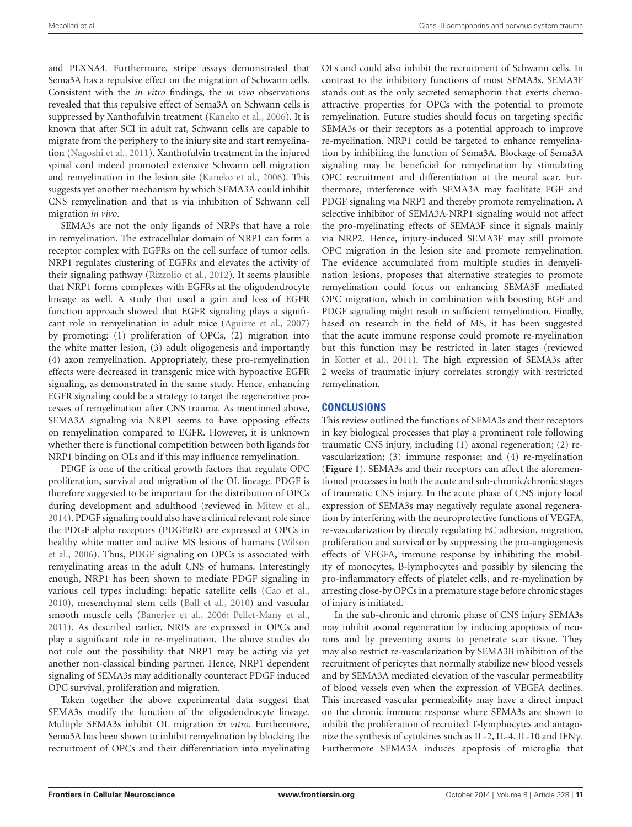and PLXNA4. Furthermore, stripe assays demonstrated that Sema3A has a repulsive effect on the migration of Schwann cells. Consistent with the *in vitro* findings, the *in vivo* observations revealed that this repulsive effect of Sema3A on Schwann cells is suppressed by Xanthofulvin treatment [\(Kaneko et al.,](#page-13-18) [2006\)](#page-13-18). It is known that after SCI in adult rat, Schwann cells are capable to migrate from the periphery to the injury site and start remyelination [\(Nagoshi et al.,](#page-14-35) [2011\)](#page-14-35). Xanthofulvin treatment in the injured spinal cord indeed promoted extensive Schwann cell migration and remyelination in the lesion site [\(Kaneko et al.,](#page-13-18) [2006\)](#page-13-18). This suggests yet another mechanism by which SEMA3A could inhibit CNS remyelination and that is via inhibition of Schwann cell migration *in vivo*.

SEMA3s are not the only ligands of NRPs that have a role in remyelination. The extracellular domain of NRP1 can form a receptor complex with EGFRs on the cell surface of tumor cells. NRP1 regulates clustering of EGFRs and elevates the activity of their signaling pathway [\(Rizzolio et al.,](#page-15-7) [2012\)](#page-15-7). It seems plausible that NRP1 forms complexes with EGFRs at the oligodendrocyte lineage as well. A study that used a gain and loss of EGFR function approach showed that EGFR signaling plays a significant role in remyelination in adult mice [\(Aguirre et al.,](#page-12-38) [2007\)](#page-12-38) by promoting: (1) proliferation of OPCs, (2) migration into the white matter lesion, (3) adult oligogenesis and importantly (4) axon remyelination. Appropriately, these pro-remyelination effects were decreased in transgenic mice with hypoactive EGFR signaling, as demonstrated in the same study. Hence, enhancing EGFR signaling could be a strategy to target the regenerative processes of remyelination after CNS trauma. As mentioned above, SEMA3A signaling via NRP1 seems to have opposing effects on remyelination compared to EGFR. However, it is unknown whether there is functional competition between both ligands for NRP1 binding on OLs and if this may influence remyelination.

PDGF is one of the critical growth factors that regulate OPC proliferation, survival and migration of the OL lineage. PDGF is therefore suggested to be important for the distribution of OPCs during development and adulthood (reviewed in [Mitew et al.,](#page-14-36) [2014\)](#page-14-36). PDGF signaling could also have a clinical relevant role since the PDGF alpha receptors (PDGFαR) are expressed at OPCs in healthy white matter and active MS lesions of humans [\(Wilson](#page-16-32) [et al.,](#page-16-32) [2006\)](#page-16-32). Thus, PDGF signaling on OPCs is associated with remyelinating areas in the adult CNS of humans. Interestingly enough, NRP1 has been shown to mediate PDGF signaling in various cell types including: hepatic satellite cells [\(Cao et al.,](#page-12-3) [2010\)](#page-12-3), mesenchymal stem cells [\(Ball et al.,](#page-12-2) [2010\)](#page-12-2) and vascular smooth muscle cells [\(Banerjee et al.,](#page-12-1) [2006;](#page-12-1) [Pellet-Many et al.,](#page-15-8) [2011\)](#page-15-8). As described earlier, NRPs are expressed in OPCs and play a significant role in re-myelination. The above studies do not rule out the possibility that NRP1 may be acting via yet another non-classical binding partner. Hence, NRP1 dependent signaling of SEMA3s may additionally counteract PDGF induced OPC survival, proliferation and migration.

Taken together the above experimental data suggest that SEMA3s modify the function of the oligodendrocyte lineage. Multiple SEMA3s inhibit OL migration *in vitro*. Furthermore, Sema3A has been shown to inhibit remyelination by blocking the recruitment of OPCs and their differentiation into myelinating

OLs and could also inhibit the recruitment of Schwann cells. In contrast to the inhibitory functions of most SEMA3s, SEMA3F stands out as the only secreted semaphorin that exerts chemoattractive properties for OPCs with the potential to promote remyelination. Future studies should focus on targeting specific SEMA3s or their receptors as a potential approach to improve re-myelination. NRP1 could be targeted to enhance remyelination by inhibiting the function of Sema3A. Blockage of Sema3A signaling may be beneficial for remyelination by stimulating OPC recruitment and differentiation at the neural scar. Furthermore, interference with SEMA3A may facilitate EGF and PDGF signaling via NRP1 and thereby promote remyelination. A selective inhibitor of SEMA3A-NRP1 signaling would not affect the pro-myelinating effects of SEMA3F since it signals mainly via NRP2. Hence, injury-induced SEMA3F may still promote OPC migration in the lesion site and promote remyelination. The evidence accumulated from multiple studies in demyelination lesions, proposes that alternative strategies to promote remyelination could focus on enhancing SEMA3F mediated OPC migration, which in combination with boosting EGF and PDGF signaling might result in sufficient remyelination. Finally, based on research in the field of MS, it has been suggested that the acute immune response could promote re-myelination but this function may be restricted in later stages (reviewed in [Kotter et al.,](#page-14-10) [2011\)](#page-14-10). The high expression of SEMA3s after 2 weeks of traumatic injury correlates strongly with restricted remyelination.

### **CONCLUSIONS**

This review outlined the functions of SEMA3s and their receptors in key biological processes that play a prominent role following traumatic CNS injury, including (1) axonal regeneration; (2) revascularization; (3) immune response; and (4) re-myelination (**[Figure 1](#page-11-1)**). SEMA3s and their receptors can affect the aforementioned processes in both the acute and sub-chronic/chronic stages of traumatic CNS injury. In the acute phase of CNS injury local expression of SEMA3s may negatively regulate axonal regeneration by interfering with the neuroprotective functions of VEGFA, re-vascularization by directly regulating EC adhesion, migration, proliferation and survival or by suppressing the pro-angiogenesis effects of VEGFA, immune response by inhibiting the mobility of monocytes, B-lymphocytes and possibly by silencing the pro-inflammatory effects of platelet cells, and re-myelination by arresting close-by OPCs in a premature stage before chronic stages of injury is initiated.

In the sub-chronic and chronic phase of CNS injury SEMA3s may inhibit axonal regeneration by inducing apoptosis of neurons and by preventing axons to penetrate scar tissue. They may also restrict re-vascularization by SEMA3B inhibition of the recruitment of pericytes that normally stabilize new blood vessels and by SEMA3A mediated elevation of the vascular permeability of blood vessels even when the expression of VEGFA declines. This increased vascular permeability may have a direct impact on the chronic immune response where SEMA3s are shown to inhibit the proliferation of recruited T-lymphocytes and antagonize the synthesis of cytokines such as IL-2, IL-4, IL-10 and IFNγ. Furthermore SEMA3A induces apoptosis of microglia that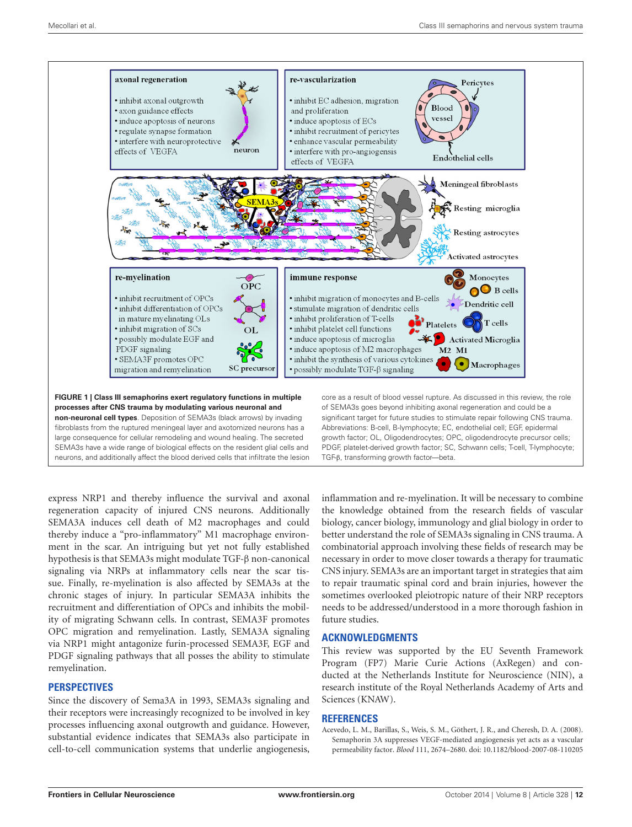

<span id="page-11-1"></span>large consequence for cellular remodeling and wound healing. The secreted SEMA3s have a wide range of biological effects on the resident glial cells and neurons, and additionally affect the blood derived cells that infiltrate the lesion PDGF, platelet-derived growth factor; SC, Schwann cells; T-cell, T-lymphocyte; TGF-β, transforming growth factor—beta.

express NRP1 and thereby influence the survival and axonal regeneration capacity of injured CNS neurons. Additionally SEMA3A induces cell death of M2 macrophages and could thereby induce a "pro-inflammatory" M1 macrophage environment in the scar. An intriguing but yet not fully established hypothesis is that SEMA3s might modulate TGF-β non-canonical signaling via NRPs at inflammatory cells near the scar tissue. Finally, re-myelination is also affected by SEMA3s at the chronic stages of injury. In particular SEMA3A inhibits the recruitment and differentiation of OPCs and inhibits the mobility of migrating Schwann cells. In contrast, SEMA3F promotes OPC migration and remyelination. Lastly, SEMA3A signaling via NRP1 might antagonize furin-processed SEMA3F, EGF and PDGF signaling pathways that all posses the ability to stimulate remyelination.

#### **PERSPECTIVES**

Since the discovery of Sema3A in 1993, SEMA3s signaling and their receptors were increasingly recognized to be involved in key processes influencing axonal outgrowth and guidance. However, substantial evidence indicates that SEMA3s also participate in cell-to-cell communication systems that underlie angiogenesis,

inflammation and re-myelination. It will be necessary to combine the knowledge obtained from the research fields of vascular biology, cancer biology, immunology and glial biology in order to better understand the role of SEMA3s signaling in CNS trauma. A combinatorial approach involving these fields of research may be necessary in order to move closer towards a therapy for traumatic CNS injury. SEMA3s are an important target in strategies that aim to repair traumatic spinal cord and brain injuries, however the sometimes overlooked pleiotropic nature of their NRP receptors needs to be addressed/understood in a more thorough fashion in future studies.

#### **ACKNOWLEDGMENTS**

This review was supported by the EU Seventh Framework Program (FP7) Marie Curie Actions (AxRegen) and conducted at the Netherlands Institute for Neuroscience (NIN), a research institute of the Royal Netherlands Academy of Arts and Sciences (KNAW).

#### **REFERENCES**

<span id="page-11-0"></span>Acevedo, L. M., Barillas, S., Weis, S. M., Göthert, J. R., and Cheresh, D. A. (2008). Semaphorin 3A suppresses VEGF-mediated angiogenesis yet acts as a vascular permeability factor. *Blood* 111, 2674–2680. doi: 10.1182/blood-2007-08-110205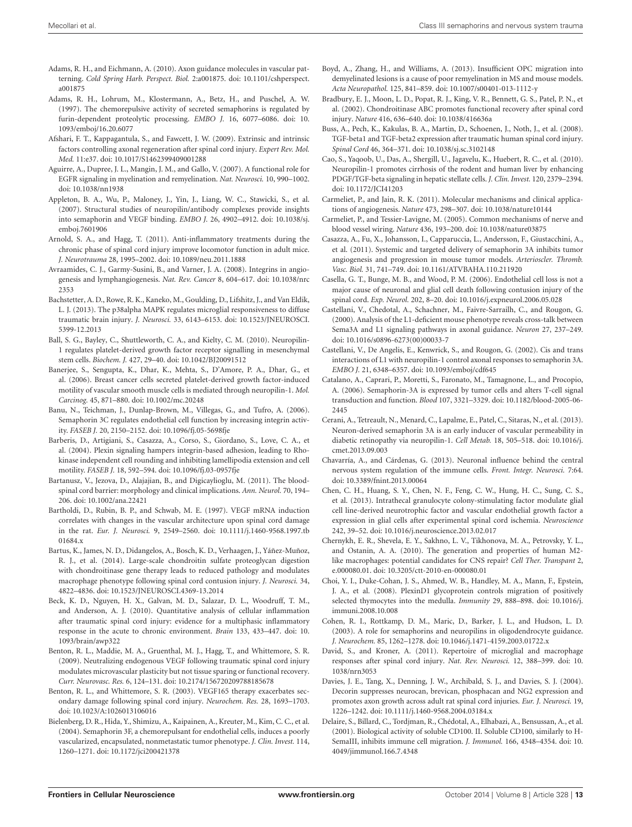- <span id="page-12-14"></span>Adams, R. H., and Eichmann, A. (2010). Axon guidance molecules in vascular patterning. *Cold Spring Harb. Perspect. Biol.* 2:a001875. doi: 10.1101/cshperspect. a001875
- <span id="page-12-0"></span>Adams, R. H., Lohrum, M., Klostermann, A., Betz, H., and Puschel, A. W. (1997). The chemorepulsive activity of secreted semaphorins is regulated by furin-dependent proteolytic processing. *EMBO J.* 16, 6077–6086. doi: 10. 1093/emboj/16.20.6077
- <span id="page-12-8"></span>Afshari, F. T., Kappagantula, S., and Fawcett, J. W. (2009). Extrinsic and intrinsic factors controlling axonal regeneration after spinal cord injury. *Expert Rev. Mol. Med.* 11:e37. doi: 10.1017/S1462399409001288
- <span id="page-12-38"></span>Aguirre, A., Dupree, J. L., Mangin, J. M., and Gallo, V. (2007). A functional role for EGFR signaling in myelination and remyelination. *Nat. Neurosci.* 10, 990–1002. doi: 10.1038/nn1938
- <span id="page-12-11"></span>Appleton, B. A., Wu, P., Maloney, J., Yin, J., Liang, W. C., Stawicki, S., et al. (2007). Structural studies of neuropilin/antibody complexes provide insights into semaphorin and VEGF binding. *EMBO J.* 26, 4902–4912. doi: 10.1038/sj. emboj.7601906
- <span id="page-12-28"></span>Arnold, S. A., and Hagg, T. (2011). Anti-inflammatory treatments during the chronic phase of spinal cord injury improve locomotor function in adult mice. *J. Neurotrauma* 28, 1995–2002. doi: 10.1089/neu.2011.1888
- <span id="page-12-24"></span>Avraamides, C. J., Garmy-Susini, B., and Varner, J. A. (2008). Integrins in angiogenesis and lymphangiogenesis. *Nat. Rev. Cancer* 8, 604–617. doi: 10.1038/nrc 2353
- <span id="page-12-30"></span>Bachstetter, A. D., Rowe, R. K., Kaneko, M., Goulding, D., Lifshitz, J., and Van Eldik, L. J. (2013). The p38alpha MAPK regulates microglial responsiveness to diffuse traumatic brain injury. *J. Neurosci.* 33, 6143–6153. doi: 10.1523/JNEUROSCI. 5399-12.2013
- <span id="page-12-2"></span>Ball, S. G., Bayley, C., Shuttleworth, C. A., and Kielty, C. M. (2010). Neuropilin-1 regulates platelet-derived growth factor receptor signalling in mesenchymal stem cells. *Biochem. J.* 427, 29–40. doi: 10.1042/BJ20091512
- <span id="page-12-1"></span>Banerjee, S., Sengupta, K., Dhar, K., Mehta, S., D'Amore, P. A., Dhar, G., et al. (2006). Breast cancer cells secreted platelet-derived growth factor-induced motility of vascular smooth muscle cells is mediated through neuropilin-1. *Mol. Carcinog.* 45, 871–880. doi: 10.1002/mc.20248
- <span id="page-12-25"></span>Banu, N., Teichman, J., Dunlap-Brown, M., Villegas, G., and Tufro, A. (2006). Semaphorin 3C regulates endothelial cell function by increasing integrin activity. *FASEB J.* 20, 2150–2152. doi: 10.1096/fj.05-5698fje
- <span id="page-12-4"></span>Barberis, D., Artigiani, S., Casazza, A., Corso, S., Giordano, S., Love, C. A., et al. (2004). Plexin signaling hampers integrin-based adhesion, leading to Rhokinase independent cell rounding and inhibiting lamellipodia extension and cell motility. *FASEB J.* 18, 592–594. doi: 10.1096/fj.03-0957fje
- <span id="page-12-13"></span>Bartanusz, V., Jezova, D., Alajajian, B., and Digicaylioglu, M. (2011). The bloodspinal cord barrier: morphology and clinical implications. *Ann. Neurol.* 70, 194– 206. doi: 10.1002/ana.22421
- <span id="page-12-15"></span>Bartholdi, D., Rubin, B. P., and Schwab, M. E. (1997). VEGF mRNA induction correlates with changes in the vascular architecture upon spinal cord damage in the rat. *Eur. J. Neurosci.* 9, 2549–2560. doi: 10.1111/j.1460-9568.1997.tb 01684 x
- <span id="page-12-31"></span>Bartus, K., James, N. D., Didangelos, A., Bosch, K. D., Verhaagen, J., Yáñez-Muñoz, R. J., et al. (2014). Large-scale chondroitin sulfate proteoglycan digestion with chondroitinase gene therapy leads to reduced pathology and modulates macrophage phenotype following spinal cord contusion injury. *J. Neurosci.* 34, 4822–4836. doi: 10.1523/JNEUROSCI.4369-13.2014
- <span id="page-12-27"></span>Beck, K. D., Nguyen, H. X., Galvan, M. D., Salazar, D. L., Woodruff, T. M., and Anderson, A. J. (2010). Quantitative analysis of cellular inflammation after traumatic spinal cord injury: evidence for a multiphasic inflammatory response in the acute to chronic environment. *Brain* 133, 433–447. doi: 10. 1093/brain/awp322
- <span id="page-12-17"></span>Benton, R. L., Maddie, M. A., Gruenthal, M. J., Hagg, T., and Whittemore, S. R. (2009). Neutralizing endogenous VEGF following traumatic spinal cord injury modulates microvascular plasticity but not tissue sparing or functional recovery. *Curr. Neurovasc. Res.* 6, 124–131. doi: 10.2174/156720209788185678
- <span id="page-12-19"></span>Benton, R. L., and Whittemore, S. R. (2003). VEGF165 therapy exacerbates secondary damage following spinal cord injury. *Neurochem. Res.* 28, 1693–1703. doi: 10.1023/A:1026013106016
- <span id="page-12-22"></span>Bielenberg, D. R., Hida, Y., Shimizu, A., Kaipainen, A., Kreuter, M., Kim, C. C., et al. (2004). Semaphorin 3F, a chemorepulsant for endothelial cells, induces a poorly vascularized, encapsulated, nonmetastatic tumor phenotype. *J. Clin. Invest.* 114, 1260–1271. doi: 10.1172/jci200421378
- <span id="page-12-7"></span>Boyd, A., Zhang, H., and Williams, A. (2013). Insufficient OPC migration into demyelinated lesions is a cause of poor remyelination in MS and mouse models. *Acta Neuropathol.* 125, 841–859. doi: 10.1007/s00401-013-1112-y
- <span id="page-12-9"></span>Bradbury, E. J., Moon, L. D., Popat, R. J., King, V. R., Bennett, G. S., Patel, P. N., et al. (2002). Chondroitinase ABC promotes functional recovery after spinal cord injury. *Nature* 416, 636–640. doi: 10.1038/416636a
- <span id="page-12-36"></span>Buss, A., Pech, K., Kakulas, B. A., Martin, D., Schoenen, J., Noth, J., et al. (2008). TGF-beta1 and TGF-beta2 expression after traumatic human spinal cord injury. *Spinal Cord* 46, 364–371. doi: 10.1038/sj.sc.3102148
- <span id="page-12-3"></span>Cao, S., Yaqoob, U., Das, A., Shergill, U., Jagavelu, K., Huebert, R. C., et al. (2010). Neuropilin-1 promotes cirrhosis of the rodent and human liver by enhancing PDGF/TGF-beta signaling in hepatic stellate cells. *J. Clin. Invest.* 120, 2379–2394. doi: 10.1172/JCI41203
- <span id="page-12-18"></span>Carmeliet, P., and Jain, R. K. (2011). Molecular mechanisms and clinical applications of angiogenesis. *Nature* 473, 298–307. doi: 10.1038/nature10144
- <span id="page-12-20"></span>Carmeliet, P., and Tessier-Lavigne, M. (2005). Common mechanisms of nerve and blood vessel wiring. *Nature* 436, 193–200. doi: 10.1038/nature03875
- <span id="page-12-21"></span>Casazza, A., Fu, X., Johansson, I., Capparuccia, L., Andersson, F., Giustacchini, A., et al. (2011). Systemic and targeted delivery of semaphorin 3A inhibits tumor angiogenesis and progression in mouse tumor models. *Arterioscler. Thromb. Vasc. Biol.* 31, 741–749. doi: 10.1161/ATVBAHA.110.211920
- <span id="page-12-12"></span>Casella, G. T., Bunge, M. B., and Wood, P. M. (2006). Endothelial cell loss is not a major cause of neuronal and glial cell death following contusion injury of the spinal cord. *Exp. Neurol.* 202, 8–20. doi: 10.1016/j.expneurol.2006.05.028
- <span id="page-12-5"></span>Castellani, V., Chedotal, A., Schachner, M., Faivre-Sarrailh, C., and Rougon, G. (2000). Analysis of the L1-deficient mouse phenotype reveals cross-talk between Sema3A and L1 signaling pathways in axonal guidance. *Neuron* 27, 237–249. doi: 10.1016/s0896-6273(00)00033-7
- <span id="page-12-6"></span>Castellani, V., De Angelis, E., Kenwrick, S., and Rougon, G. (2002). Cis and trans interactions of L1 with neuropilin-1 control axonal responses to semaphorin 3A. *EMBO J.* 21, 6348–6357. doi: 10.1093/emboj/cdf645
- <span id="page-12-35"></span>Catalano, A., Caprari, P., Moretti, S., Faronato, M., Tamagnone, L., and Procopio, A. (2006). Semaphorin-3A is expressed by tumor cells and alters T-cell signal transduction and function. *Blood* 107, 3321–3329. doi: 10.1182/blood-2005-06- 2445
- <span id="page-12-23"></span>Cerani, A., Tetreault, N., Menard, C., Lapalme, E., Patel, C., Sitaras, N., et al. (2013). Neuron-derived semaphorin 3A is an early inducer of vascular permeability in diabetic retinopathy via neuropilin-1. *Cell Metab.* 18, 505–518. doi: 10.1016/j. cmet.2013.09.003
- <span id="page-12-26"></span>Chavarría, A., and Cárdenas, G. (2013). Neuronal influence behind the central nervous system regulation of the immune cells. *Front. Integr. Neurosci.* 7:64. doi: 10.3389/fnint.2013.00064
- <span id="page-12-16"></span>Chen, C. H., Huang, S. Y., Chen, N. F., Feng, C. W., Hung, H. C., Sung, C. S., et al. (2013). Intrathecal granulocyte colony-stimulating factor modulate glial cell line-derived neurotrophic factor and vascular endothelial growth factor a expression in glial cells after experimental spinal cord ischemia. *Neuroscience* 242, 39–52. doi: 10.1016/j.neuroscience.2013.02.017
- <span id="page-12-29"></span>Chernykh, E. R., Shevela, E. Y., Sakhno, L. V., Tikhonova, M. A., Petrovsky, Y. L., and Ostanin, A. A. (2010). The generation and properties of human M2 like macrophages: potential candidates for CNS repair? *Cell Ther. Transpant* 2, e.000080.01. doi: 10.3205/ctt-2010-en-000080.01
- <span id="page-12-34"></span>Choi, Y. I., Duke-Cohan, J. S., Ahmed, W. B., Handley, M. A., Mann, F., Epstein, J. A., et al. (2008). PlexinD1 glycoprotein controls migration of positively selected thymocytes into the medulla. *Immunity* 29, 888–898. doi: 10.1016/j. immuni.2008.10.008
- <span id="page-12-37"></span>Cohen, R. I., Rottkamp, D. M., Maric, D., Barker, J. L., and Hudson, L. D. (2003). A role for semaphorins and neuropilins in oligodendrocyte guidance. *J. Neurochem.* 85, 1262–1278. doi: 10.1046/j.1471-4159.2003.01722.x
- <span id="page-12-32"></span>David, S., and Kroner, A. (2011). Repertoire of microglial and macrophage responses after spinal cord injury. *Nat. Rev. Neurosci.* 12, 388–399. doi: 10. 1038/nrn3053
- <span id="page-12-10"></span>Davies, J. E., Tang, X., Denning, J. W., Archibald, S. J., and Davies, S. J. (2004). Decorin suppresses neurocan, brevican, phosphacan and NG2 expression and promotes axon growth across adult rat spinal cord injuries. *Eur. J. Neurosci.* 19, 1226–1242. doi: 10.1111/j.1460-9568.2004.03184.x
- <span id="page-12-33"></span>Delaire, S., Billard, C., Tordjman, R., Chédotal, A., Elhabazi, A., Bensussan, A., et al. (2001). Biological activity of soluble CD100. II. Soluble CD100, similarly to H-SemaIII, inhibits immune cell migration. *J. Immunol.* 166, 4348–4354. doi: 10. 4049/jimmunol.166.7.4348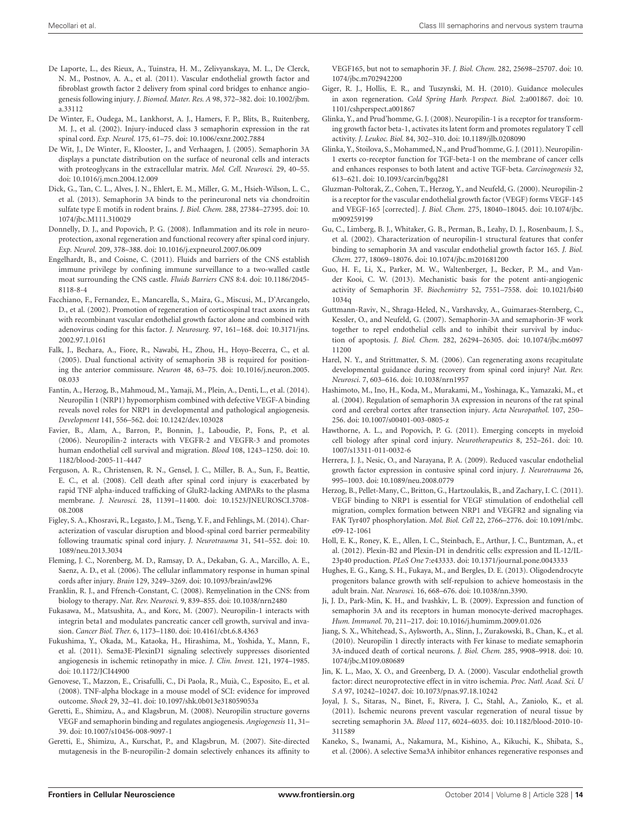- <span id="page-13-25"></span>De Laporte, L., des Rieux, A., Tuinstra, H. M., Zelivyanskaya, M. L., De Clerck, N. M., Postnov, A. A., et al. (2011). Vascular endothelial growth factor and fibroblast growth factor 2 delivery from spinal cord bridges to enhance angiogenesis following injury. *J. Biomed. Mater. Res. A* 98, 372–382. doi: 10.1002/jbm. a.33112
- <span id="page-13-8"></span>De Winter, F., Oudega, M., Lankhorst, A. J., Hamers, F. P., Blits, B., Ruitenberg, M. J., et al. (2002). Injury-induced class 3 semaphorin expression in the rat spinal cord. *Exp. Neurol.* 175, 61–75. doi: 10.1006/exnr.2002.7884
- <span id="page-13-16"></span>De Wit, J., De Winter, F., Klooster, J., and Verhaagen, J. (2005). Semaphorin 3A displays a punctate distribution on the surface of neuronal cells and interacts with proteoglycans in the extracellular matrix. *Mol. Cell. Neurosci.* 29, 40–55. doi: 10.1016/j.mcn.2004.12.009
- <span id="page-13-17"></span>Dick, G., Tan, C. L., Alves, J. N., Ehlert, E. M., Miller, G. M., Hsieh-Wilson, L. C., et al. (2013). Semaphorin 3A binds to the perineuronal nets via chondroitin sulfate type E motifs in rodent brains. *J. Biol. Chem.* 288, 27384–27395. doi: 10. 1074/jbc.M111.310029
- <span id="page-13-30"></span>Donnelly, D. J., and Popovich, P. G. (2008). Inflammation and its role in neuroprotection, axonal regeneration and functional recovery after spinal cord injury. *Exp. Neurol.* 209, 378–388. doi: 10.1016/j.expneurol.2007.06.009
- <span id="page-13-21"></span>Engelhardt, B., and Coisne, C. (2011). Fluids and barriers of the CNS establish immune privilege by confining immune surveillance to a two-walled castle moat surrounding the CNS castle. *Fluids Barriers CNS* 8:4. doi: 10.1186/2045- 8118-8-4
- <span id="page-13-24"></span>Facchiano, F., Fernandez, E., Mancarella, S., Maira, G., Miscusi, M., D'Arcangelo, D., et al. (2002). Promotion of regeneration of corticospinal tract axons in rats with recombinant vascular endothelial growth factor alone and combined with adenovirus coding for this factor. *J. Neurosurg.* 97, 161–168. doi: 10.3171/jns. 2002.97.1.0161
- <span id="page-13-7"></span>Falk, J., Bechara, A., Fiore, R., Nawabi, H., Zhou, H., Hoyo-Becerra, C., et al. (2005). Dual functional activity of semaphorin 3B is required for positioning the anterior commissure. *Neuron* 48, 63–75. doi: 10.1016/j.neuron.2005. 08.033
- <span id="page-13-26"></span>Fantin, A., Herzog, B., Mahmoud, M., Yamaji, M., Plein, A., Denti, L., et al. (2014). Neuropilin 1 (NRP1) hypomorphism combined with defective VEGF-A binding reveals novel roles for NRP1 in developmental and pathological angiogenesis. *Development* 141, 556–562. doi: 10.1242/dev.103028
- <span id="page-13-2"></span>Favier, B., Alam, A., Barron, P., Bonnin, J., Laboudie, P., Fons, P., et al. (2006). Neuropilin-2 interacts with VEGFR-2 and VEGFR-3 and promotes human endothelial cell survival and migration. *Blood* 108, 1243–1250. doi: 10. 1182/blood-2005-11-4447
- <span id="page-13-33"></span>Ferguson, A. R., Christensen, R. N., Gensel, J. C., Miller, B. A., Sun, F., Beattie, E. C., et al. (2008). Cell death after spinal cord injury is exacerbated by rapid TNF alpha-induced trafficking of GluR2-lacking AMPARs to the plasma membrane. *J. Neurosci.* 28, 11391–11400. doi: 10.1523/JNEUROSCI.3708- 08.2008
- <span id="page-13-22"></span>Figley, S. A., Khosravi, R., Legasto, J. M., Tseng, Y. F., and Fehlings, M. (2014). Characterization of vascular disruption and blood-spinal cord barrier permeability following traumatic spinal cord injury. *J. Neurotrauma* 31, 541–552. doi: 10. 1089/neu.2013.3034
- <span id="page-13-32"></span>Fleming, J. C., Norenberg, M. D., Ramsay, D. A., Dekaban, G. A., Marcillo, A. E., Saenz, A. D., et al. (2006). The cellular inflammatory response in human spinal cords after injury. *Brain* 129, 3249–3269. doi: 10.1093/brain/awl296
- <span id="page-13-36"></span>Franklin, R. J., and Ffrench-Constant, C. (2008). Remyelination in the CNS: from biology to therapy. *Nat. Rev. Neurosci.* 9, 839–855. doi: 10.1038/nrn2480
- <span id="page-13-6"></span>Fukasawa, M., Matsushita, A., and Korc, M. (2007). Neuropilin-1 interacts with integrin beta1 and modulates pancreatic cancer cell growth, survival and invasion. *Cancer Biol. Ther.* 6, 1173–1180. doi: 10.4161/cbt.6.8.4363
- <span id="page-13-29"></span>Fukushima, Y., Okada, M., Kataoka, H., Hirashima, M., Yoshida, Y., Mann, F., et al. (2011). Sema3E-PlexinD1 signaling selectively suppresses disoriented angiogenesis in ischemic retinopathy in mice. *J. Clin. Invest.* 121, 1974–1985. doi: 10.1172/JCI44900
- <span id="page-13-34"></span>Genovese, T., Mazzon, E., Crisafulli, C., Di Paola, R., Muià, C., Esposito, E., et al. (2008). TNF-alpha blockage in a mouse model of SCI: evidence for improved outcome. *Shock* 29, 32–41. doi: 10.1097/shk.0b013e318059053a
- <span id="page-13-13"></span>Geretti, E., Shimizu, A., and Klagsbrun, M. (2008). Neuropilin structure governs VEGF and semaphorin binding and regulates angiogenesis. *Angiogenesis* 11, 31– 39. doi: 10.1007/s10456-008-9097-1
- <span id="page-13-27"></span>Geretti, E., Shimizu, A., Kurschat, P., and Klagsbrun, M. (2007). Site-directed mutagenesis in the B-neuropilin-2 domain selectively enhances its affinity to

VEGF165, but not to semaphorin 3F. *J. Biol. Chem.* 282, 25698–25707. doi: 10. 1074/jbc.m702942200

- <span id="page-13-15"></span>Giger, R. J., Hollis, E. R., and Tuszynski, M. H. (2010). Guidance molecules in axon regeneration. *Cold Spring Harb. Perspect. Biol.* 2:a001867. doi: 10. 1101/cshperspect.a001867
- <span id="page-13-4"></span>Glinka, Y., and Prud'homme, G. J. (2008). Neuropilin-1 is a receptor for transforming growth factor beta-1, activates its latent form and promotes regulatory T cell activity. *J. Leukoc. Biol.* 84, 302–310. doi: 10.1189/jlb.0208090
- <span id="page-13-5"></span>Glinka, Y., Stoilova, S., Mohammed, N., and Prud'homme, G. J. (2011). Neuropilin-1 exerts co-receptor function for TGF-beta-1 on the membrane of cancer cells and enhances responses to both latent and active TGF-beta. *Carcinogenesis* 32, 613–621. doi: 10.1093/carcin/bgq281
- <span id="page-13-1"></span>Gluzman-Poltorak, Z., Cohen, T., Herzog, Y., and Neufeld, G. (2000). Neuropilin-2 is a receptor for the vascular endothelial growth factor (VEGF) forms VEGF-145 and VEGF-165 [corrected]. *J. Biol. Chem.* 275, 18040–18045. doi: 10.1074/jbc. m909259199
- <span id="page-13-19"></span>Gu, C., Limberg, B. J., Whitaker, G. B., Perman, B., Leahy, D. J., Rosenbaum, J. S., et al. (2002). Characterization of neuropilin-1 structural features that confer binding to semaphorin 3A and vascular endothelial growth factor 165. *J. Biol. Chem.* 277, 18069–18076. doi: 10.1074/jbc.m201681200
- <span id="page-13-0"></span>Guo, H. F., Li, X., Parker, M. W., Waltenberger, J., Becker, P. M., and Vander Kooi, C. W. (2013). Mechanistic basis for the potent anti-angiogenic activity of Semaphorin 3F. *Biochemistry* 52, 7551–7558. doi: 10.1021/bi40 1034q
- <span id="page-13-28"></span>Guttmann-Raviv, N., Shraga-Heled, N., Varshavsky, A., Guimaraes-Sternberg, C., Kessler, O., and Neufeld, G. (2007). Semaphorin-3A and semaphorin-3F work together to repel endothelial cells and to inhibit their survival by induction of apoptosis. *J. Biol. Chem.* 282, 26294–26305. doi: 10.1074/jbc.m6097 11200
- <span id="page-13-14"></span>Harel, N. Y., and Strittmatter, S. M. (2006). Can regenerating axons recapitulate developmental guidance during recovery from spinal cord injury? *Nat. Rev. Neurosci.* 7, 603–616. doi: 10.1038/nrn1957
- <span id="page-13-9"></span>Hashimoto, M., Ino, H., Koda, M., Murakami, M., Yoshinaga, K., Yamazaki, M., et al. (2004). Regulation of semaphorin 3A expression in neurons of the rat spinal cord and cerebral cortex after transection injury. *Acta Neuropathol.* 107, 250– 256. doi: 10.1007/s00401-003-0805-z
- <span id="page-13-31"></span>Hawthorne, A. L., and Popovich, P. G. (2011). Emerging concepts in myeloid cell biology after spinal cord injury. *Neurotherapeutics* 8, 252–261. doi: 10. 1007/s13311-011-0032-6
- <span id="page-13-23"></span>Herrera, J. J., Nesic, O., and Narayana, P. A. (2009). Reduced vascular endothelial growth factor expression in contusive spinal cord injury. *J. Neurotrauma* 26, 995–1003. doi: 10.1089/neu.2008.0779
- <span id="page-13-3"></span>Herzog, B., Pellet-Many, C., Britton, G., Hartzoulakis, B., and Zachary, I. C. (2011). VEGF binding to NRP1 is essential for VEGF stimulation of endothelial cell migration, complex formation between NRP1 and VEGFR2 and signaling via FAK Tyr407 phosphorylation. *Mol. Biol. Cell* 22, 2766–2776. doi: 10.1091/mbc. e09-12-1061
- <span id="page-13-35"></span>Holl, E. K., Roney, K. E., Allen, I. C., Steinbach, E., Arthur, J. C., Buntzman, A., et al. (2012). Plexin-B2 and Plexin-D1 in dendritic cells: expression and IL-12/IL-23p40 production. *PLoS One* 7:e43333. doi: 10.1371/journal.pone.0043333
- <span id="page-13-37"></span>Hughes, E. G., Kang, S. H., Fukaya, M., and Bergles, D. E. (2013). Oligodendrocyte progenitors balance growth with self-repulsion to achieve homeostasis in the adult brain. *Nat. Neurosci.* 16, 668–676. doi: 10.1038/nn.3390.
- <span id="page-13-10"></span>Ji, J. D., Park-Min, K. H., and Ivashkiv, L. B. (2009). Expression and function of semaphorin 3A and its receptors in human monocyte-derived macrophages. *Hum. Immunol.* 70, 211–217. doi: 10.1016/j.humimm.2009.01.026
- <span id="page-13-11"></span>Jiang, S. X., Whitehead, S., Aylsworth, A., Slinn, J., Zurakowski, B., Chan, K., et al. (2010). Neuropilin 1 directly interacts with Fer kinase to mediate semaphorin 3A-induced death of cortical neurons. *J. Biol. Chem.* 285, 9908–9918. doi: 10. 1074/jbc.M109.080689
- <span id="page-13-20"></span>Jin, K. L., Mao, X. O., and Greenberg, D. A. (2000). Vascular endothelial growth factor: direct neuroprotective effect in in vitro ischemia. *Proc. Natl. Acad. Sci. U S A* 97, 10242–10247. doi: 10.1073/pnas.97.18.10242
- <span id="page-13-12"></span>Joyal, J. S., Sitaras, N., Binet, F., Rivera, J. C., Stahl, A., Zaniolo, K., et al. (2011). Ischemic neurons prevent vascular regeneration of neural tissue by secreting semaphorin 3A. *Blood* 117, 6024–6035. doi: 10.1182/blood-2010-10- 311589
- <span id="page-13-18"></span>Kaneko, S., Iwanami, A., Nakamura, M., Kishino, A., Kikuchi, K., Shibata, S., et al. (2006). A selective Sema3A inhibitor enhances regenerative responses and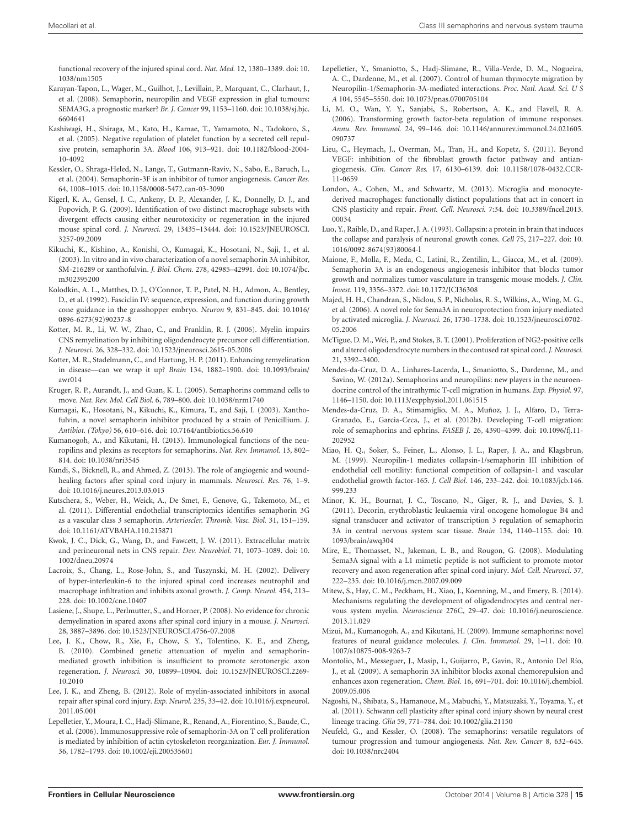functional recovery of the injured spinal cord. *Nat. Med.* 12, 1380–1389. doi: 10. 1038/nm1505

- <span id="page-14-21"></span>Karayan-Tapon, L., Wager, M., Guilhot, J., Levillain, P., Marquant, C., Clarhaut, J., et al. (2008). Semaphorin, neuropilin and VEGF expression in glial tumours: SEMA3G, a prognostic marker? *Br. J. Cancer* 99, 1153–1160. doi: 10.1038/sj.bjc. 6604641
- <span id="page-14-29"></span>Kashiwagi, H., Shiraga, M., Kato, H., Kamae, T., Yamamoto, N., Tadokoro, S., et al. (2005). Negative regulation of platelet function by a secreted cell repulsive protein, semaphorin 3A. *Blood* 106, 913–921. doi: 10.1182/blood-2004- 10-4092
- <span id="page-14-19"></span>Kessler, O., Shraga-Heled, N., Lange, T., Gutmann-Raviv, N., Sabo, E., Baruch, L., et al. (2004). Semaphorin-3F is an inhibitor of tumor angiogenesis. *Cancer Res.* 64, 1008–1015. doi: 10.1158/0008-5472.can-03-3090
- <span id="page-14-25"></span>Kigerl, K. A., Gensel, J. C., Ankeny, D. P., Alexander, J. K., Donnelly, D. J., and Popovich, P. G. (2009). Identification of two distinct macrophage subsets with divergent effects causing either neurotoxicity or regeneration in the injured mouse spinal cord. *J. Neurosci.* 29, 13435–13444. doi: 10.1523/JNEUROSCI. 3257-09.2009
- <span id="page-14-15"></span>Kikuchi, K., Kishino, A., Konishi, O., Kumagai, K., Hosotani, N., Saji, I., et al. (2003). In vitro and in vivo characterization of a novel semaphorin 3A inhibitor, SM-216289 or xanthofulvin. *J. Biol. Chem.* 278, 42985–42991. doi: 10.1074/jbc. m302395200
- <span id="page-14-0"></span>Kolodkin, A. L., Matthes, D. J., O'Connor, T. P., Patel, N. H., Admon, A., Bentley, D., et al. (1992). Fasciclin IV: sequence, expression, and function during growth cone guidance in the grasshopper embryo. *Neuron* 9, 831–845. doi: 10.1016/ 0896-6273(92)90237-8
- <span id="page-14-32"></span>Kotter, M. R., Li, W. W., Zhao, C., and Franklin, R. J. (2006). Myelin impairs CNS remyelination by inhibiting oligodendrocyte precursor cell differentiation. *J. Neurosci.* 26, 328–332. doi: 10.1523/jneurosci.2615-05.2006
- <span id="page-14-10"></span>Kotter, M. R., Stadelmann, C., and Hartung, H. P. (2011). Enhancing remyelination in disease—can we wrap it up? *Brain* 134, 1882–1900. doi: 10.1093/brain/ awr014
- <span id="page-14-2"></span>Kruger, R. P., Aurandt, J., and Guan, K. L. (2005). Semaphorins command cells to move. *Nat. Rev. Mol. Cell Biol.* 6, 789–800. doi: 10.1038/nrm1740
- <span id="page-14-14"></span>Kumagai, K., Hosotani, N., Kikuchi, K., Kimura, T., and Saji, I. (2003). Xanthofulvin, a novel semaphorin inhibitor produced by a strain of Penicillium. *J. Antibiot. (Tokyo)* 56, 610–616. doi: 10.7164/antibiotics.56.610
- <span id="page-14-8"></span>Kumanogoh, A., and Kikutani, H. (2013). Immunological functions of the neuropilins and plexins as receptors for semaphorins. *Nat. Rev. Immunol.* 13, 802– 814. doi: 10.1038/nri3545
- <span id="page-14-16"></span>Kundi, S., Bicknell, R., and Ahmed, Z. (2013). The role of angiogenic and woundhealing factors after spinal cord injury in mammals. *Neurosci. Res.* 76, 1–9. doi: 10.1016/j.neures.2013.03.013
- <span id="page-14-20"></span>Kutschera, S., Weber, H., Weick, A., De Smet, F., Genove, G., Takemoto, M., et al. (2011). Differential endothelial transcriptomics identifies semaphorin 3G as a vascular class 3 semaphorin. *Arterioscler. Thromb. Vasc. Biol.* 31, 151–159. doi: 10.1161/ATVBAHA.110.215871
- <span id="page-14-11"></span>Kwok, J. C., Dick, G., Wang, D., and Fawcett, J. W. (2011). Extracellular matrix and perineuronal nets in CNS repair. *Dev. Neurobiol.* 71, 1073–1089. doi: 10. 1002/dneu.20974
- <span id="page-14-24"></span>Lacroix, S., Chang, L., Rose-John, S., and Tuszynski, M. H. (2002). Delivery of hyper-interleukin-6 to the injured spinal cord increases neutrophil and macrophage infiltration and inhibits axonal growth. *J. Comp. Neurol.* 454, 213– 228. doi: 10.1002/cne.10407
- <span id="page-14-33"></span>Lasiene, J., Shupe, L., Perlmutter, S., and Horner, P. (2008). No evidence for chronic demyelination in spared axons after spinal cord injury in a mouse. *J. Neurosci.* 28, 3887–3896. doi: 10.1523/JNEUROSCI.4756-07.2008
- <span id="page-14-12"></span>Lee, J. K., Chow, R., Xie, F., Chow, S. Y., Tolentino, K. E., and Zheng, B. (2010). Combined genetic attenuation of myelin and semaphorinmediated growth inhibition is insufficient to promote serotonergic axon regeneration. *J. Neurosci.* 30, 10899–10904. doi: 10.1523/JNEUROSCI.2269- 10.2010
- <span id="page-14-31"></span>Lee, J. K., and Zheng, B. (2012). Role of myelin-associated inhibitors in axonal repair after spinal cord injury. *Exp. Neurol.* 235, 33–42. doi: 10.1016/j.expneurol. 2011.05.001
- <span id="page-14-5"></span>Lepelletier, Y., Moura, I. C., Hadj-Slimane, R., Renand, A., Fiorentino, S., Baude, C., et al. (2006). Immunosuppressive role of semaphorin-3A on T cell proliferation is mediated by inhibition of actin cytoskeleton reorganization. *Eur. J. Immunol.* 36, 1782–1793. doi: 10.1002/eji.200535601
- <span id="page-14-26"></span>Lepelletier, Y., Smaniotto, S., Hadj-Slimane, R., Villa-Verde, D. M., Nogueira, A. C., Dardenne, M., et al. (2007). Control of human thymocyte migration by Neuropilin-1/Semaphorin-3A-mediated interactions. *Proc. Natl. Acad. Sci. U S A* 104, 5545–5550. doi: 10.1073/pnas.0700705104
- <span id="page-14-30"></span>Li, M. O., Wan, Y. Y., Sanjabi, S., Robertson, A. K., and Flavell, R. A. (2006). Transforming growth factor-beta regulation of immune responses. *Annu. Rev. Immunol.* 24, 99–146. doi: 10.1146/annurev.immunol.24.021605. 090737
- <span id="page-14-17"></span>Lieu, C., Heymach, J., Overman, M., Tran, H., and Kopetz, S. (2011). Beyond VEGF: inhibition of the fibroblast growth factor pathway and antiangiogenesis. *Clin. Cancer Res.* 17, 6130–6139. doi: 10.1158/1078-0432.CCR-11-0659
- <span id="page-14-23"></span>London, A., Cohen, M., and Schwartz, M. (2013). Microglia and monocytederived macrophages: functionally distinct populations that act in concert in CNS plasticity and repair. *Front. Cell. Neurosci.* 7:34. doi: 10.3389/fncel.2013. 00034
- <span id="page-14-1"></span>Luo, Y., Raible, D., and Raper, J. A. (1993). Collapsin: a protein in brain that induces the collapse and paralysis of neuronal growth cones. *Cell* 75, 217–227. doi: 10. 1016/0092-8674(93)80064-l
- <span id="page-14-22"></span>Maione, F., Molla, F., Meda, C., Latini, R., Zentilin, L., Giacca, M., et al. (2009). Semaphorin 3A is an endogenous angiogenesis inhibitor that blocks tumor growth and normalizes tumor vasculature in transgenic mouse models. *J. Clin. Invest.* 119, 3356–3372. doi: 10.1172/JCI36308
- <span id="page-14-6"></span>Majed, H. H., Chandran, S., Niclou, S. P., Nicholas, R. S., Wilkins, A., Wing, M. G., et al. (2006). A novel role for Sema3A in neuroprotection from injury mediated by activated microglia. *J. Neurosci.* 26, 1730–1738. doi: 10.1523/jneurosci.0702- 05.2006
- <span id="page-14-34"></span>McTigue, D. M., Wei, P., and Stokes, B. T. (2001). Proliferation of NG2-positive cells and altered oligodendrocyte numbers in the contused rat spinal cord. *J. Neurosci.* 21, 3392–3400.
- <span id="page-14-27"></span>Mendes-da-Cruz, D. A., Linhares-Lacerda, L., Smaniotto, S., Dardenne, M., and Savino, W. (2012a). Semaphorins and neuropilins: new players in the neuroendocrine control of the intrathymic T-cell migration in humans. *Exp. Physiol.* 97, 1146–1150. doi: 10.1113/expphysiol.2011.061515
- <span id="page-14-28"></span>Mendes-da-Cruz, D. A., Stimamiglio, M. A., Muñoz, J. J., Alfaro, D., Terra-Granado, E., Garcia-Ceca, J., et al. (2012b). Developing T-cell migration: role of semaphorins and ephrins. *FASEB J.* 26, 4390–4399. doi: 10.1096/fj.11- 202952
- <span id="page-14-18"></span>Miao, H. Q., Soker, S., Feiner, L., Alonso, J. L., Raper, J. A., and Klagsbrun, M. (1999). Neuropilin-1 mediates collapsin-1/semaphorin III inhibition of endothelial cell motility: functional competition of collapsin-1 and vascular endothelial growth factor-165. *J. Cell Biol.* 146, 233–242. doi: 10.1083/jcb.146. 999.233
- <span id="page-14-3"></span>Minor, K. H., Bournat, J. C., Toscano, N., Giger, R. J., and Davies, S. J. (2011). Decorin, erythroblastic leukaemia viral oncogene homologue B4 and signal transducer and activator of transcription 3 regulation of semaphorin 3A in central nervous system scar tissue. *Brain* 134, 1140–1155. doi: 10. 1093/brain/awq304
- <span id="page-14-4"></span>Mire, E., Thomasset, N., Jakeman, L. B., and Rougon, G. (2008). Modulating Sema3A signal with a L1 mimetic peptide is not sufficient to promote motor recovery and axon regeneration after spinal cord injury. *Mol. Cell. Neurosci.* 37, 222–235. doi: 10.1016/j.mcn.2007.09.009
- <span id="page-14-36"></span>Mitew, S., Hay, C. M., Peckham, H., Xiao, J., Koenning, M., and Emery, B. (2014). Mechanisms regulating the development of oligodendrocytes and central nervous system myelin. *Neuroscience* 276C, 29–47. doi: 10.1016/j.neuroscience. 2013.11.029
- <span id="page-14-7"></span>Mizui, M., Kumanogoh, A., and Kikutani, H. (2009). Immune semaphorins: novel features of neural guidance molecules. *J. Clin. Immunol.* 29, 1–11. doi: 10. 1007/s10875-008-9263-7
- <span id="page-14-13"></span>Montolio, M., Messeguer, J., Masip, I., Guijarro, P., Gavin, R., Antonio Del Río, J., et al. (2009). A semaphorin 3A inhibitor blocks axonal chemorepulsion and enhances axon regeneration. *Chem. Biol.* 16, 691–701. doi: 10.1016/j.chembiol. 2009.05.006
- <span id="page-14-35"></span>Nagoshi, N., Shibata, S., Hamanoue, M., Mabuchi, Y., Matsuzaki, Y., Toyama, Y., et al. (2011). Schwann cell plasticity after spinal cord injury shown by neural crest lineage tracing. *Glia* 59, 771–784. doi: 10.1002/glia.21150
- <span id="page-14-9"></span>Neufeld, G., and Kessler, O. (2008). The semaphorins: versatile regulators of tumour progression and tumour angiogenesis. *Nat. Rev. Cancer* 8, 632–645. doi: 10.1038/nrc2404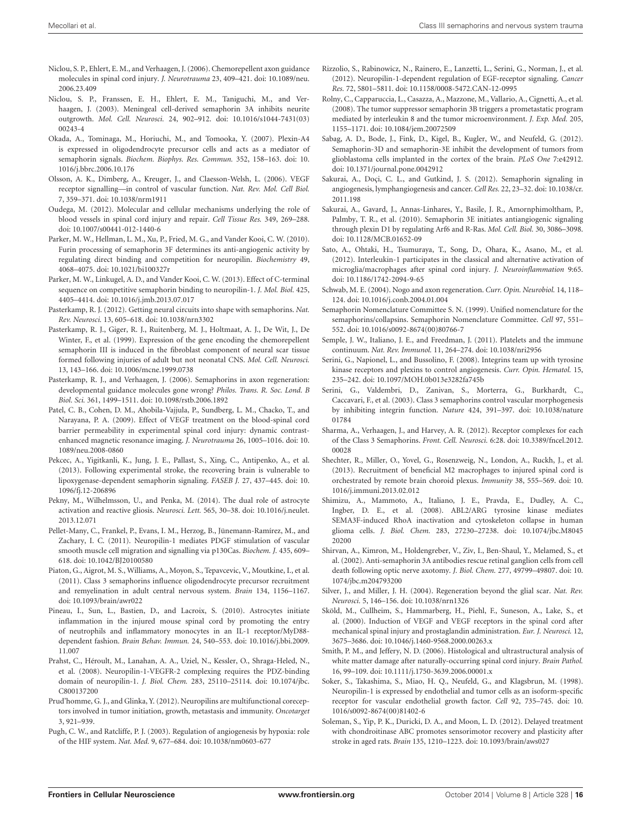- <span id="page-15-17"></span>Niclou, S. P., Ehlert, E. M., and Verhaagen, J. (2006). Chemorepellent axon guidance molecules in spinal cord injury. *J. Neurotrauma* 23, 409–421. doi: 10.1089/neu. 2006.23.409
- <span id="page-15-11"></span>Niclou, S. P., Franssen, E. H., Ehlert, E. M., Taniguchi, M., and Verhaagen, J. (2003). Meningeal cell-derived semaphorin 3A inhibits neurite outgrowth. *Mol. Cell. Neurosci.* 24, 902–912. doi: 10.1016/s1044-7431(03) 00243-4
- <span id="page-15-38"></span>Okada, A., Tominaga, M., Horiuchi, M., and Tomooka, Y. (2007). Plexin-A4 is expressed in oligodendrocyte precursor cells and acts as a mediator of semaphorin signals. *Biochem. Biophys. Res. Commun.* 352, 158–163. doi: 10. 1016/j.bbrc.2006.10.176
- <span id="page-15-20"></span>Olsson, A. K., Dimberg, A., Kreuger, J., and Claesson-Welsh, L. (2006). VEGF receptor signalling—in control of vascular function. *Nat. Rev. Mol. Cell Biol.* 7, 359–371. doi: 10.1038/nrm1911
- <span id="page-15-21"></span>Oudega, M. (2012). Molecular and cellular mechanisms underlying the role of blood vessels in spinal cord injury and repair. *Cell Tissue Res.* 349, 269–288. doi: 10.1007/s00441-012-1440-6
- <span id="page-15-3"></span>Parker, M. W., Hellman, L. M., Xu, P., Fried, M. G., and Vander Kooi, C. W. (2010). Furin processing of semaphorin 3F determines its anti-angiogenic activity by regulating direct binding and competition for neuropilin. *Biochemistry* 49, 4068–4075. doi: 10.1021/bi100327r
- <span id="page-15-4"></span>Parker, M. W., Linkugel, A. D., and Vander Kooi, C. W. (2013). Effect of C-terminal sequence on competitive semaphorin binding to neuropilin-1. *J. Mol. Biol.* 425, 4405–4414. doi: 10.1016/j.jmb.2013.07.017
- <span id="page-15-1"></span>Pasterkamp, R. J. (2012). Getting neural circuits into shape with semaphorins. *Nat. Rev. Neurosci.* 13, 605–618. doi: 10.1038/nrn3302
- <span id="page-15-10"></span>Pasterkamp, R. J., Giger, R. J., Ruitenberg, M. J., Holtmaat, A. J., De Wit, J., De Winter, F., et al. (1999). Expression of the gene encoding the chemorepellent semaphorin III is induced in the fibroblast component of neural scar tissue formed following injuries of adult but not neonatal CNS. *Mol. Cell. Neurosci.* 13, 143–166. doi: 10.1006/mcne.1999.0738
- <span id="page-15-15"></span>Pasterkamp, R. J., and Verhaagen, J. (2006). Semaphorins in axon regeneration: developmental guidance molecules gone wrong? *Philos. Trans. R. Soc. Lond. B Biol. Sci.* 361, 1499–1511. doi: 10.1098/rstb.2006.1892
- <span id="page-15-24"></span>Patel, C. B., Cohen, D. M., Ahobila-Vajjula, P., Sundberg, L. M., Chacko, T., and Narayana, P. A. (2009). Effect of VEGF treatment on the blood-spinal cord barrier permeability in experimental spinal cord injury: dynamic contrastenhanced magnetic resonance imaging. *J. Neurotrauma* 26, 1005–1016. doi: 10. 1089/neu.2008-0860
- <span id="page-15-13"></span>Pekcec, A., Yigitkanli, K., Jung, J. E., Pallast, S., Xing, C., Antipenko, A., et al. (2013). Following experimental stroke, the recovering brain is vulnerable to lipoxygenase-dependent semaphorin signaling. *FASEB J.* 27, 437–445. doi: 10. 1096/fj.12-206896
- <span id="page-15-30"></span>Pekny, M., Wilhelmsson, U., and Penka, M. (2014). The dual role of astrocyte activation and reactive gliosis. *Neurosci. Lett.* 565, 30–38. doi: 10.1016/j.neulet. 2013.12.071
- <span id="page-15-8"></span>Pellet-Many, C., Frankel, P., Evans, I. M., Herzog, B., Jünemann-Ramírez, M., and Zachary, I. C. (2011). Neuropilin-1 mediates PDGF stimulation of vascular smooth muscle cell migration and signalling via p130Cas. *Biochem. J.* 435, 609– 618. doi: 10.1042/BJ20100580
- <span id="page-15-12"></span>Piaton, G., Aigrot, M. S., Williams, A., Moyon, S., Tepavcevic, V., Moutkine, I., et al. (2011). Class 3 semaphorins influence oligodendrocyte precursor recruitment and remyelination in adult central nervous system. *Brain* 134, 1156–1167. doi: 10.1093/brain/awr022
- <span id="page-15-32"></span>Pineau, I., Sun, L., Bastien, D., and Lacroix, S. (2010). Astrocytes initiate inflammation in the injured mouse spinal cord by promoting the entry of neutrophils and inflammatory monocytes in an IL-1 receptor/MyD88 dependent fashion. *Brain Behav. Immun.* 24, 540–553. doi: 10.1016/j.bbi.2009. 11.007
- <span id="page-15-6"></span>Prahst, C., Héroult, M., Lanahan, A. A., Uziel, N., Kessler, O., Shraga-Heled, N., et al. (2008). Neuropilin-1-VEGFR-2 complexing requires the PDZ-binding domain of neuropilin-1. *J. Biol. Chem.* 283, 25110–25114. doi: 10.1074/jbc. C800137200
- <span id="page-15-35"></span>Prud'homme, G. J., and Glinka, Y. (2012). Neuropilins are multifunctional coreceptors involved in tumor initiation, growth, metastasis and immunity. *Oncotarget* 3, 921–939.
- <span id="page-15-23"></span>Pugh, C. W., and Ratcliffe, P. J. (2003). Regulation of angiogenesis by hypoxia: role of the HIF system. *Nat. Med.* 9, 677–684. doi: 10.1038/nm0603-677
- <span id="page-15-7"></span>Rizzolio, S., Rabinowicz, N., Rainero, E., Lanzetti, L., Serini, G., Norman, J., et al. (2012). Neuropilin-1-dependent regulation of EGF-receptor signaling. *Cancer Res.* 72, 5801–5811. doi: 10.1158/0008-5472.CAN-12-0995
- <span id="page-15-26"></span>Rolny, C., Capparuccia, L., Casazza, A., Mazzone, M., Vallario, A., Cignetti, A., et al. (2008). The tumor suppressor semaphorin 3B triggers a prometastatic program mediated by interleukin 8 and the tumor microenvironment. *J. Exp. Med.* 205, 1155–1171. doi: 10.1084/jem.20072509
- <span id="page-15-27"></span>Sabag, A. D., Bode, J., Fink, D., Kigel, B., Kugler, W., and Neufeld, G. (2012). Semaphorin-3D and semaphorin-3E inhibit the development of tumors from glioblastoma cells implanted in the cortex of the brain. *PLoS One* 7:e42912. doi: 10.1371/journal.pone.0042912
- <span id="page-15-16"></span>Sakurai, A., Doçi, C. L., and Gutkind, J. S. (2012). Semaphorin signaling in angiogenesis, lymphangiogenesis and cancer. *Cell Res.* 22, 23–32. doi: 10.1038/cr. 2011.198
- <span id="page-15-28"></span>Sakurai, A., Gavard, J., Annas-Linhares, Y., Basile, J. R., Amornphimoltham, P., Palmby, T. R., et al. (2010). Semaphorin 3E initiates antiangiogenic signaling through plexin D1 by regulating Arf6 and R-Ras. *Mol. Cell. Biol.* 30, 3086–3098. doi: 10.1128/MCB.01652-09
- <span id="page-15-31"></span>Sato, A., Ohtaki, H., Tsumuraya, T., Song, D., Ohara, K., Asano, M., et al. (2012). Interleukin-1 participates in the classical and alternative activation of microglia/macrophages after spinal cord injury. *J. Neuroinflammation* 9:65. doi: 10.1186/1742-2094-9-65
- <span id="page-15-36"></span>Schwab, M. E. (2004). Nogo and axon regeneration. *Curr. Opin. Neurobiol.* 14, 118– 124. doi: 10.1016/j.conb.2004.01.004
- <span id="page-15-0"></span>Semaphorin Nomenclature Committee S. N. (1999). Unified nomenclature for the semaphorins/collapsins. Semaphorin Nomenclature Committee. *Cell* 97, 551– 552. doi: 10.1016/s0092-8674(00)80766-7
- <span id="page-15-34"></span>Semple, J. W., Italiano, J. E., and Freedman, J. (2011). Platelets and the immune continuum. *Nat. Rev. Immunol.* 11, 264–274. doi: 10.1038/nri2956
- <span id="page-15-9"></span>Serini, G., Napionel, L., and Bussolino, F. (2008). Integrins team up with tyrosine kinase receptors and plexins to control angiogenesis. *Curr. Opin. Hematol.* 15, 235–242. doi: 10.1097/MOH.0b013e3282fa745b
- <span id="page-15-29"></span>Serini, G., Valdembri, D., Zanivan, S., Morterra, G., Burkhardt, C., Caccavari, F., et al. (2003). Class 3 semaphorins control vascular morphogenesis by inhibiting integrin function. *Nature* 424, 391–397. doi: 10.1038/nature 01784
- <span id="page-15-2"></span>Sharma, A., Verhaagen, J., and Harvey, A. R. (2012). Receptor complexes for each of the Class 3 Semaphorins. *Front. Cell. Neurosci.* 6:28. doi: 10.3389/fncel.2012. 00028
- <span id="page-15-33"></span>Shechter, R., Miller, O., Yovel, G., Rosenzweig, N., London, A., Ruckh, J., et al. (2013). Recruitment of beneficial M2 macrophages to injured spinal cord is orchestrated by remote brain choroid plexus. *Immunity* 38, 555–569. doi: 10. 1016/j.immuni.2013.02.012
- <span id="page-15-25"></span>Shimizu, A., Mammoto, A., Italiano, J. E., Pravda, E., Dudley, A. C., Ingber, D. E., et al. (2008). ABL2/ARG tyrosine kinase mediates SEMA3F-induced RhoA inactivation and cytoskeleton collapse in human glioma cells. *J. Biol. Chem.* 283, 27230–27238. doi: 10.1074/jbc.M8045 20200
- <span id="page-15-19"></span>Shirvan, A., Kimron, M., Holdengreber, V., Ziv, I., Ben-Shaul, Y., Melamed, S., et al. (2002). Anti-semaphorin 3A antibodies rescue retinal ganglion cells from cell death following optic nerve axotomy. *J. Biol. Chem.* 277, 49799–49807. doi: 10. 1074/jbc.m204793200
- <span id="page-15-14"></span>Silver, J., and Miller, J. H. (2004). Regeneration beyond the glial scar. *Nat. Rev. Neurosci.* 5, 146–156. doi: 10.1038/nrn1326
- <span id="page-15-22"></span>Sköld, M., Cullheim, S., Hammarberg, H., Piehl, F., Suneson, A., Lake, S., et al. (2000). Induction of VEGF and VEGF receptors in the spinal cord after mechanical spinal injury and prostaglandin administration. *Eur. J. Neurosci.* 12, 3675–3686. doi: 10.1046/j.1460-9568.2000.00263.x
- <span id="page-15-37"></span>Smith, P. M., and Jeffery, N. D. (2006). Histological and ultrastructural analysis of white matter damage after naturally-occurring spinal cord injury. *Brain Pathol.* 16, 99–109. doi: 10.1111/j.1750-3639.2006.00001.x
- <span id="page-15-5"></span>Soker, S., Takashima, S., Miao, H. Q., Neufeld, G., and Klagsbrun, M. (1998). Neuropilin-1 is expressed by endothelial and tumor cells as an isoform-specific receptor for vascular endothelial growth factor. *Cell* 92, 735–745. doi: 10. 1016/s0092-8674(00)81402-6
- <span id="page-15-18"></span>Soleman, S., Yip, P. K., Duricki, D. A., and Moon, L. D. (2012). Delayed treatment with chondroitinase ABC promotes sensorimotor recovery and plasticity after stroke in aged rats. *Brain* 135, 1210–1223. doi: 10.1093/brain/aws027